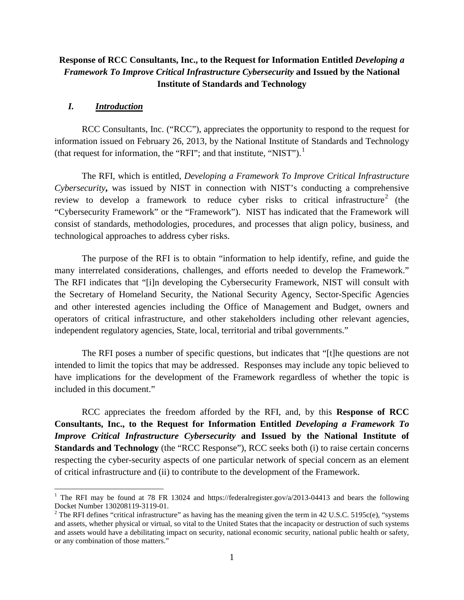# **Response of RCC Consultants, Inc., to the Request for Information Entitled** *Developing a Framework To Improve Critical Infrastructure Cybersecurity* **and Issued by the National Institute of Standards and Technology**

#### *I. Introduction*

 $\overline{\phantom{a}}$ 

RCC Consultants, Inc. ("RCC"), appreciates the opportunity to respond to the request for information issued on February 26, 2013, by the National Institute of Standards and Technology (that request for information, the "RFI"; and that institute, "NIST").<sup>[1](#page-0-0)</sup>

The RFI, which is entitled, *Developing a Framework To Improve Critical Infrastructure Cybersecurity***,** was issued by NIST in connection with NIST's conducting a comprehensive review to develop a framework to reduce cyber risks to critical infrastructure<sup>[2](#page-0-1)</sup> (the "Cybersecurity Framework" or the "Framework"). NIST has indicated that the Framework will consist of standards, methodologies, procedures, and processes that align policy, business, and technological approaches to address cyber risks.

The purpose of the RFI is to obtain "information to help identify, refine, and guide the many interrelated considerations, challenges, and efforts needed to develop the Framework." The RFI indicates that "[i]n developing the Cybersecurity Framework, NIST will consult with the Secretary of Homeland Security, the National Security Agency, Sector-Specific Agencies and other interested agencies including the Office of Management and Budget, owners and operators of critical infrastructure, and other stakeholders including other relevant agencies, independent regulatory agencies, State, local, territorial and tribal governments."

The RFI poses a number of specific questions, but indicates that "[t]he questions are not intended to limit the topics that may be addressed. Responses may include any topic believed to have implications for the development of the Framework regardless of whether the topic is included in this document."

RCC appreciates the freedom afforded by the RFI, and, by this **Response of RCC Consultants, Inc., to the Request for Information Entitled** *Developing a Framework To Improve Critical Infrastructure Cybersecurity* **and Issued by the National Institute of Standards and Technology** (the "RCC Response"), RCC seeks both (i) to raise certain concerns respecting the cyber-security aspects of one particular network of special concern as an element of critical infrastructure and (ii) to contribute to the development of the Framework.

<span id="page-0-0"></span><sup>&</sup>lt;sup>1</sup> The RFI may be found at 78 FR 13024 and https://federalregister.gov/a/2013-04413 and bears the following Docket Number 130208119-3119-01.

<span id="page-0-1"></span><sup>&</sup>lt;sup>2</sup> The RFI defines "critical infrastructure" as having has the meaning given the term in 42 U.S.C. 5195c(e), "systems and assets, whether physical or virtual, so vital to the United States that the incapacity or destruction of such systems and assets would have a debilitating impact on security, national economic security, national public health or safety, or any combination of those matters."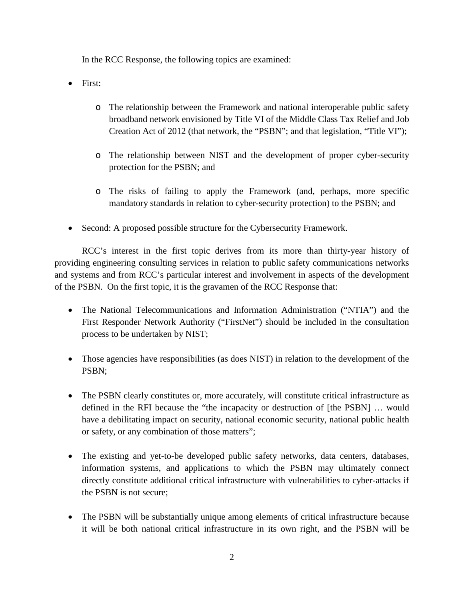In the RCC Response, the following topics are examined:

- First:
	- o The relationship between the Framework and national interoperable public safety broadband network envisioned by Title VI of the Middle Class Tax Relief and Job Creation Act of 2012 (that network, the "PSBN"; and that legislation, "Title VI");
	- o The relationship between NIST and the development of proper cyber-security protection for the PSBN; and
	- o The risks of failing to apply the Framework (and, perhaps, more specific mandatory standards in relation to cyber-security protection) to the PSBN; and
- Second: A proposed possible structure for the Cybersecurity Framework.

RCC's interest in the first topic derives from its more than thirty-year history of providing engineering consulting services in relation to public safety communications networks and systems and from RCC's particular interest and involvement in aspects of the development of the PSBN. On the first topic, it is the gravamen of the RCC Response that:

- The National Telecommunications and Information Administration ("NTIA") and the First Responder Network Authority ("FirstNet") should be included in the consultation process to be undertaken by NIST;
- Those agencies have responsibilities (as does NIST) in relation to the development of the PSBN;
- The PSBN clearly constitutes or, more accurately, will constitute critical infrastructure as defined in the RFI because the "the incapacity or destruction of [the PSBN] … would have a debilitating impact on security, national economic security, national public health or safety, or any combination of those matters";
- The existing and yet-to-be developed public safety networks, data centers, databases, information systems, and applications to which the PSBN may ultimately connect directly constitute additional critical infrastructure with vulnerabilities to cyber-attacks if the PSBN is not secure;
- The PSBN will be substantially unique among elements of critical infrastructure because it will be both national critical infrastructure in its own right, and the PSBN will be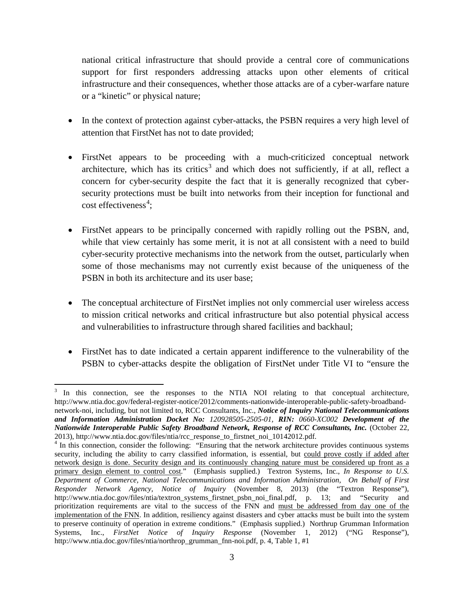national critical infrastructure that should provide a central core of communications support for first responders addressing attacks upon other elements of critical infrastructure and their consequences, whether those attacks are of a cyber-warfare nature or a "kinetic" or physical nature;

- In the context of protection against cyber-attacks, the PSBN requires a very high level of attention that FirstNet has not to date provided;
- FirstNet appears to be proceeding with a much-criticized conceptual network architecture, which has its critics<sup>[3](#page-2-0)</sup> and which does not sufficiently, if at all, reflect a concern for cyber-security despite the fact that it is generally recognized that cybersecurity protections must be built into networks from their inception for functional and cost effectiveness<sup>[4](#page-2-1)</sup>;
- FirstNet appears to be principally concerned with rapidly rolling out the PSBN, and, while that view certainly has some merit, it is not at all consistent with a need to build cyber-security protective mechanisms into the network from the outset, particularly when some of those mechanisms may not currently exist because of the uniqueness of the PSBN in both its architecture and its user base;
- The conceptual architecture of FirstNet implies not only commercial user wireless access to mission critical networks and critical infrastructure but also potential physical access and vulnerabilities to infrastructure through shared facilities and backhaul;
- FirstNet has to date indicated a certain apparent indifference to the vulnerability of the PSBN to cyber-attacks despite the obligation of FirstNet under Title VI to "ensure the

<span id="page-2-0"></span><sup>&</sup>lt;sup>3</sup> In this connection, see the responses to the NTIA NOI relating to that conceptual architecture, http://www.ntia.doc.gov/federal-register-notice/2012/comments-nationwide-interoperable-public-safety-broadbandnetwork-noi, including, but not limited to, RCC Consultants, Inc., *Notice of Inquiry National Telecommunications and Information Administration Docket No: 120928505-2505-01, RIN: 0660-XC002 Development of the Nationwide Interoperable Public Safety Broadband Network, Response of RCC Consultants, Inc.* (October 22,

<span id="page-2-1"></span><sup>2013),</sup> http://www.ntia.doc.gov/files/ntia/rcc\_response\_to\_firstnet\_noi\_10142012.pdf. <sup>4</sup> In this connection, consider the following: "Ensuring that the network architecture provides continuous systems security, including the ability to carry classified information, is essential, but could prove costly if added after network design is done. Security design and its continuously changing nature must be considered up front as a primary design element to control cost." (Emphasis supplied.) Textron Systems, Inc., *In Response to U.S. Department of Commerce, National Telecommunications and Information Administration, On Behalf of First Responder Network Agency, Notice of Inquiry* (November 8, 2013) (the "Textron Response"), http://www.ntia.doc.gov/files/ntia/textron\_systems\_firstnet\_psbn\_noi\_final.pdf, p. 13; and "Security and prioritization requirements are vital to the success of the FNN and must be addressed from day one of the implementation of the FNN. In addition, resiliency against disasters and cyber attacks must be built into the system to preserve continuity of operation in extreme conditions." (Emphasis supplied.) Northrup Grumman Information Systems, Inc., *FirstNet Notice of Inquiry Response* (November 1, 2012) ("NG Response"), http://www.ntia.doc.gov/files/ntia/northrop\_grumman\_fnn-noi.pdf, p. 4, Table 1, #1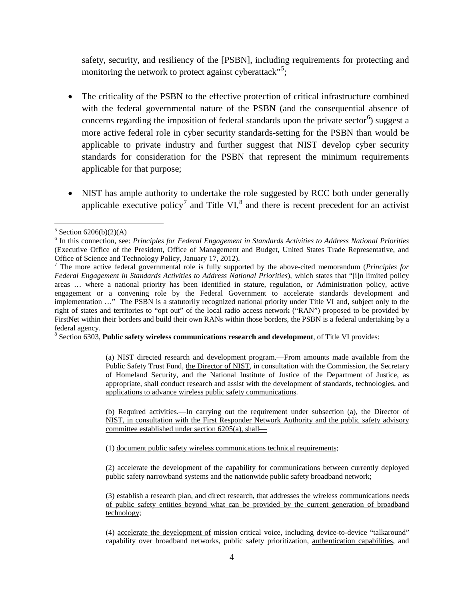safety, security, and resiliency of the [PSBN], including requirements for protecting and monitoring the network to protect against cyberattack"<sup>[5](#page-3-0)</sup>;

- The criticality of the PSBN to the effective protection of critical infrastructure combined with the federal governmental nature of the PSBN (and the consequential absence of concerns regarding the imposition of federal standards upon the private sector<sup>[6](#page-3-1)</sup>) suggest a more active federal role in cyber security standards-setting for the PSBN than would be applicable to private industry and further suggest that NIST develop cyber security standards for consideration for the PSBN that represent the minimum requirements applicable for that purpose;
- NIST has ample authority to undertake the role suggested by RCC both under generally applicable executive policy<sup>[7](#page-3-2)</sup> and Title VI, $^8$  $^8$  and there is recent precedent for an activist

<span id="page-3-3"></span><sup>8</sup> Section 6303, **Public safety wireless communications research and development**, of Title VI provides:

(a) NIST directed research and development program.—From amounts made available from the Public Safety Trust Fund, the Director of NIST, in consultation with the Commission, the Secretary of Homeland Security, and the National Institute of Justice of the Department of Justice, as appropriate, shall conduct research and assist with the development of standards, technologies, and applications to advance wireless public safety communications.

(b) Required activities.—In carrying out the requirement under subsection (a), the Director of NIST, in consultation with the First Responder Network Authority and the public safety advisory committee established under section 6205(a), shall—

(1) document public safety wireless communications technical requirements;

(2) accelerate the development of the capability for communications between currently deployed public safety narrowband systems and the nationwide public safety broadband network;

(3) establish a research plan, and direct research, that addresses the wireless communications needs of public safety entities beyond what can be provided by the current generation of broadband technology;

(4) accelerate the development of mission critical voice, including device-to-device "talkaround" capability over broadband networks, public safety prioritization, authentication capabilities, and

<span id="page-3-0"></span> $5$  Section 6206(b)(2)(A) l

<span id="page-3-1"></span><sup>6</sup> In this connection, see: *Principles for Federal Engagement in Standards Activities to Address National Priorities* (Executive Office of the President, Office of Management and Budget, United States Trade Representative, and Office of Science and Technology Policy, January 17, 2012).

<span id="page-3-2"></span><sup>7</sup> The more active federal governmental role is fully supported by the above-cited memorandum (*Principles for Federal Engagement in Standards Activities to Address National Priorities*), which states that "[i]n limited policy areas … where a national priority has been identified in stature, regulation, or Administration policy, active engagement or a convening role by the Federal Government to accelerate standards development and implementation …" The PSBN is a statutorily recognized national priority under Title VI and, subject only to the right of states and territories to "opt out" of the local radio access network ("RAN") proposed to be provided by FirstNet within their borders and build their own RANs within those borders, the PSBN is a federal undertaking by a federal agency.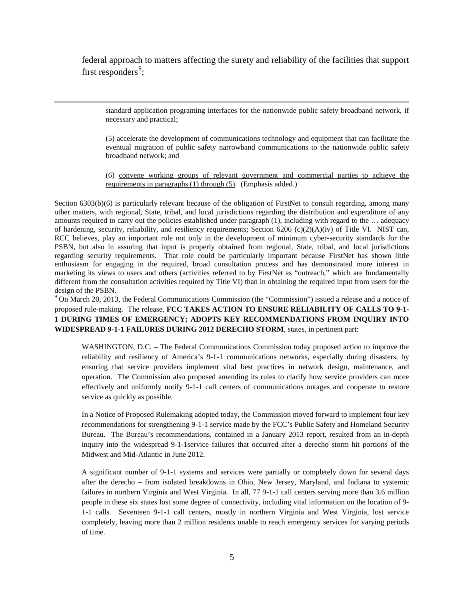federal approach to matters affecting the surety and reliability of the facilities that support first responders<sup>[9](#page-4-0)</sup>;

 $\overline{\phantom{a}}$ 

standard application programing interfaces for the nationwide public safety broadband network, if necessary and practical;

(5) accelerate the development of communications technology and equipment that can facilitate the eventual migration of public safety narrowband communications to the nationwide public safety broadband network; and

(6) convene working groups of relevant government and commercial parties to achieve the requirements in paragraphs (1) through (5). (Emphasis added.)

Section 6303(b)(6) is particularly relevant because of the obligation of FirstNet to consult regarding, among many other matters, with regional, State, tribal, and local jurisdictions regarding the distribution and expenditure of any amounts required to carry out the policies established under paragraph (1), including with regard to the … adequacy of hardening, security, reliability, and resiliency requirements; Section 6206 (c)(2)(A)(iv) of Title VI. NIST can, RCC believes, play an important role not only in the development of minimum cyber-security standards for the PSBN, but also in assuring that input is properly obtained from regional, State, tribal, and local jurisdictions regarding security requirements. That role could be particularly important because FirstNet has shown little enthusiasm for engaging in the required, broad consultation process and has demonstrated more interest in marketing its views to users and others (activities referred to by FirstNet as "outreach," which are fundamentally different from the consultation activities required by Title VI) than in obtaining the required input from users for the design of the PSBN.

<span id="page-4-0"></span><sup>9</sup> On March 20, 2013, the Federal Communications Commission (the "Commission") issued a release and a notice of proposed rule-making. The release, **FCC TAKES ACTION TO ENSURE RELIABILITY OF CALLS TO 9-1- 1 DURING TIMES OF EMERGENCY; ADOPTS KEY RECOMMENDATIONS FROM INQUIRY INTO WIDESPREAD 9-1-1 FAILURES DURING 2012 DERECHO STORM**, states, in pertinent part:

WASHINGTON, D.C. – The Federal Communications Commission today proposed action to improve the reliability and resiliency of America's 9-1-1 communications networks, especially during disasters, by ensuring that service providers implement vital best practices in network design, maintenance, and operation. The Commission also proposed amending its rules to clarify how service providers can more effectively and uniformly notify 9-1-1 call centers of communications outages and cooperate to restore service as quickly as possible.

In a Notice of Proposed Rulemaking adopted today, the Commission moved forward to implement four key recommendations for strengthening 9-1-1 service made by the FCC's Public Safety and Homeland Security Bureau. The Bureau's recommendations, contained in a January 2013 report, resulted from an in-depth inquiry into the widespread 9-1-1service failures that occurred after a derecho storm hit portions of the Midwest and Mid-Atlantic in June 2012.

A significant number of 9-1-1 systems and services were partially or completely down for several days after the derecho – from isolated breakdowns in Ohio, New Jersey, Maryland, and Indiana to systemic failures in northern Virginia and West Virginia. In all, 77 9-1-1 call centers serving more than 3.6 million people in these six states lost some degree of connectivity, including vital information on the location of 9- 1-1 calls. Seventeen 9-1-1 call centers, mostly in northern Virginia and West Virginia, lost service completely, leaving more than 2 million residents unable to reach emergency services for varying periods of time.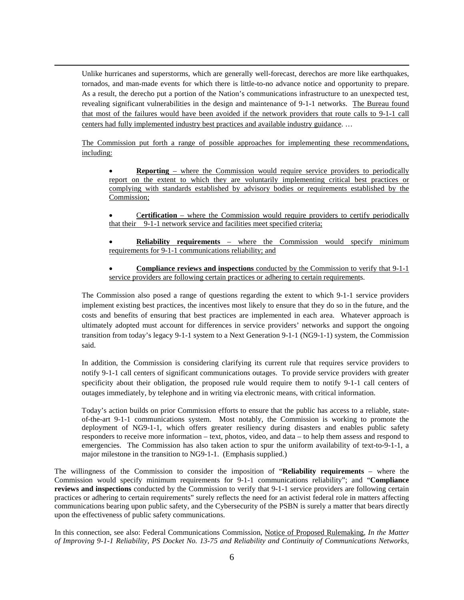Unlike hurricanes and superstorms, which are generally well-forecast, derechos are more like earthquakes, tornados, and man-made events for which there is little-to-no advance notice and opportunity to prepare. As a result, the derecho put a portion of the Nation's communications infrastructure to an unexpected test, revealing significant vulnerabilities in the design and maintenance of 9-1-1 networks. The Bureau found that most of the failures would have been avoided if the network providers that route calls to 9-1-1 call centers had fully implemented industry best practices and available industry guidance. …

l

The Commission put forth a range of possible approaches for implementing these recommendations, including:

- **Reporting** where the Commission would require service providers to periodically report on the extent to which they are voluntarily implementing critical best practices or complying with standards established by advisory bodies or requirements established by the Commission;
- C**ertification** where the Commission would require providers to certify periodically that their 9-1-1 network service and facilities meet specified criteria;
- **Reliability requirements**  where the Commission would specify minimum requirements for 9-1-1 communications reliability; and
- **Compliance reviews and inspections** conducted by the Commission to verify that 9-1-1 service providers are following certain practices or adhering to certain requirements.

The Commission also posed a range of questions regarding the extent to which 9-1-1 service providers implement existing best practices, the incentives most likely to ensure that they do so in the future, and the costs and benefits of ensuring that best practices are implemented in each area. Whatever approach is ultimately adopted must account for differences in service providers' networks and support the ongoing transition from today's legacy 9-1-1 system to a Next Generation 9-1-1 (NG9-1-1) system, the Commission said.

In addition, the Commission is considering clarifying its current rule that requires service providers to notify 9-1-1 call centers of significant communications outages. To provide service providers with greater specificity about their obligation, the proposed rule would require them to notify 9-1-1 call centers of outages immediately, by telephone and in writing via electronic means, with critical information.

Today's action builds on prior Commission efforts to ensure that the public has access to a reliable, stateof-the-art 9-1-1 communications system. Most notably, the Commission is working to promote the deployment of NG9-1-1, which offers greater resiliency during disasters and enables public safety responders to receive more information – text, photos, video, and data – to help them assess and respond to emergencies. The Commission has also taken action to spur the uniform availability of text-to-9-1-1, a major milestone in the transition to NG9-1-1. (Emphasis supplied.)

The willingness of the Commission to consider the imposition of "**Reliability requirements** – where the Commission would specify minimum requirements for 9-1-1 communications reliability"; and "**Compliance reviews and inspections** conducted by the Commission to verify that 9-1-1 service providers are following certain practices or adhering to certain requirements" surely reflects the need for an activist federal role in matters affecting communications bearing upon public safety, and the Cybersecurity of the PSBN is surely a matter that bears directly upon the effectiveness of public safety communications.

In this connection, see also: Federal Communications Commission, Notice of Proposed Rulemaking, *In the Matter of Improving 9-1-1 Reliability, PS Docket No. 13-75 and Reliability and Continuity of Communications Networks,*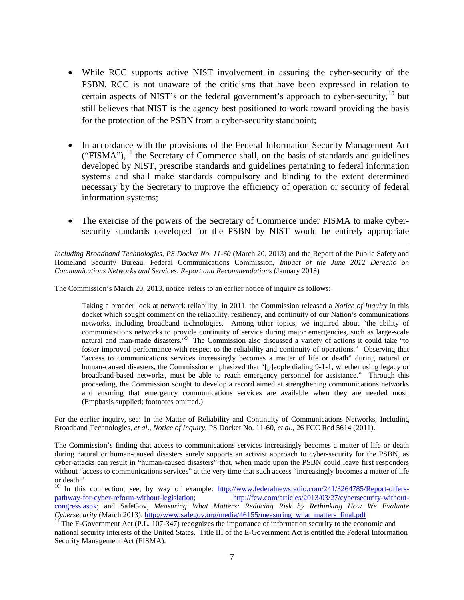- While RCC supports active NIST involvement in assuring the cyber-security of the PSBN, RCC is not unaware of the criticisms that have been expressed in relation to certain aspects of NIST's or the federal government's approach to cyber-security,  $10$  but still believes that NIST is the agency best positioned to work toward providing the basis for the protection of the PSBN from a cyber-security standpoint;
- In accordance with the provisions of the Federal Information Security Management Act  $("FISMA")$ ,<sup>[11](#page-6-1)</sup>, the Secretary of Commerce shall, on the basis of standards and guidelines developed by NIST, prescribe standards and guidelines pertaining to federal information systems and shall make standards compulsory and binding to the extent determined necessary by the Secretary to improve the efficiency of operation or security of federal information systems;
- The exercise of the powers of the Secretary of Commerce under FISMA to make cybersecurity standards developed for the PSBN by NIST would be entirely appropriate

*Including Broadband Technologies, PS Docket No. 11-60* (March 20, 2013) and the Report of the Public Safety and Homeland Security Bureau, Federal Communications Commission, *Impact of the June 2012 Derecho on Communications Networks and Services, Report and Recommendations* (January 2013)

The Commission's March 20, 2013, notice refers to an earlier notice of inquiry as follows:

l

Taking a broader look at network reliability, in 2011, the Commission released a *Notice of Inquiry* in this docket which sought comment on the reliability, resiliency, and continuity of our Nation's communications networks, including broadband technologies. Among other topics, we inquired about "the ability of communications networks to provide continuity of service during major emergencies, such as large-scale natural and man-made disasters."<sup>9</sup> The Commission also discussed a variety of actions it could take "to foster improved performance with respect to the reliability and continuity of operations." Observing that "access to communications services increasingly becomes a matter of life or death" during natural or human-caused disasters, the Commission emphasized that "[p]eople dialing 9-1-1, whether using legacy or broadband-based networks, must be able to reach emergency personnel for assistance." Through this proceeding, the Commission sought to develop a record aimed at strengthening communications networks and ensuring that emergency communications services are available when they are needed most. (Emphasis supplied; footnotes omitted.)

For the earlier inquiry, see: In the Matter of Reliability and Continuity of Communications Networks, Including Broadband Technologies, *et al*., *Notice of Inquiry*, PS Docket No. 11-60, *et al*., 26 FCC Rcd 5614 (2011).

The Commission's finding that access to communications services increasingly becomes a matter of life or death during natural or human-caused disasters surely supports an activist approach to cyber-security for the PSBN, as cyber-attacks can result in "human-caused disasters" that, when made upon the PSBN could leave first responders without "access to communications services" at the very time that such access "increasingly becomes a matter of life or death."

<span id="page-6-0"></span><sup>10</sup> In this connection, see, by way of example: [http://www.federalnewsradio.com/241/3264785/Report-offers](http://www.federalnewsradio.com/241/3264785/Report-offers-pathway-for-cyber-reform-without-legislation)[pathway-for-cyber-reform-without-legislation;](http://www.federalnewsradio.com/241/3264785/Report-offers-pathway-for-cyber-reform-without-legislation) [http://fcw.com/articles/2013/03/27/cybersecurity-without](http://fcw.com/articles/2013/03/27/cybersecurity-without-congress.aspx)[congress.aspx;](http://fcw.com/articles/2013/03/27/cybersecurity-without-congress.aspx) and SafeGov, *Measuring What Matters: Reducing Risk by Rethinking How We Evaluate* 

<span id="page-6-1"></span><sup>&</sup>lt;sup>11</sup> The E-Government Act (P.L. 107-347) recognizes the importance of information security to the economic and national security interests of the United States. Title III of the E-Government Act is entitled the Federal Information Security Management Act (FISMA).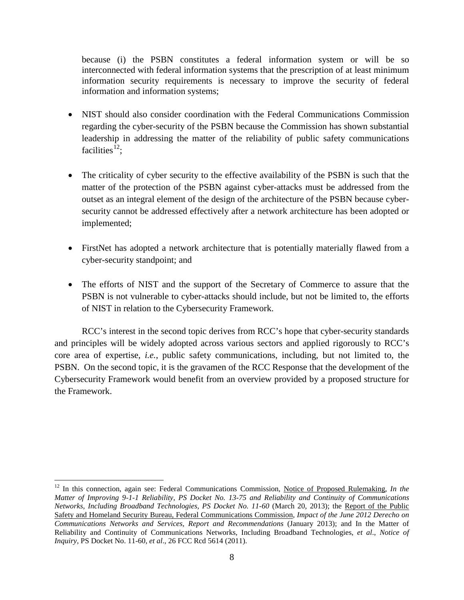because (i) the PSBN constitutes a federal information system or will be so interconnected with federal information systems that the prescription of at least minimum information security requirements is necessary to improve the security of federal information and information systems;

- NIST should also consider coordination with the Federal Communications Commission regarding the cyber-security of the PSBN because the Commission has shown substantial leadership in addressing the matter of the reliability of public safety communications facilities $^{12}$  $^{12}$  $^{12}$ ;
- The criticality of cyber security to the effective availability of the PSBN is such that the matter of the protection of the PSBN against cyber-attacks must be addressed from the outset as an integral element of the design of the architecture of the PSBN because cybersecurity cannot be addressed effectively after a network architecture has been adopted or implemented;
- FirstNet has adopted a network architecture that is potentially materially flawed from a cyber-security standpoint; and
- The efforts of NIST and the support of the Secretary of Commerce to assure that the PSBN is not vulnerable to cyber-attacks should include, but not be limited to, the efforts of NIST in relation to the Cybersecurity Framework.

RCC's interest in the second topic derives from RCC's hope that cyber-security standards and principles will be widely adopted across various sectors and applied rigorously to RCC's core area of expertise, *i.e.*, public safety communications, including, but not limited to, the PSBN. On the second topic, it is the gravamen of the RCC Response that the development of the Cybersecurity Framework would benefit from an overview provided by a proposed structure for the Framework.

<span id="page-7-0"></span><sup>&</sup>lt;sup>12</sup> In this connection, again see: Federal Communications Commission, Notice of Proposed Rulemaking, *In the Matter of Improving 9-1-1 Reliability, PS Docket No. 13-75 and Reliability and Continuity of Communications Networks, Including Broadband Technologies, PS Docket No. 11-60* (March 20, 2013); the Report of the Public Safety and Homeland Security Bureau, Federal Communications Commission, *Impact of the June 2012 Derecho on Communications Networks and Services, Report and Recommendations* (January 2013); and In the Matter of Reliability and Continuity of Communications Networks, Including Broadband Technologies, *et al*., *Notice of Inquiry*, PS Docket No. 11-60, *et al*., 26 FCC Rcd 5614 (2011).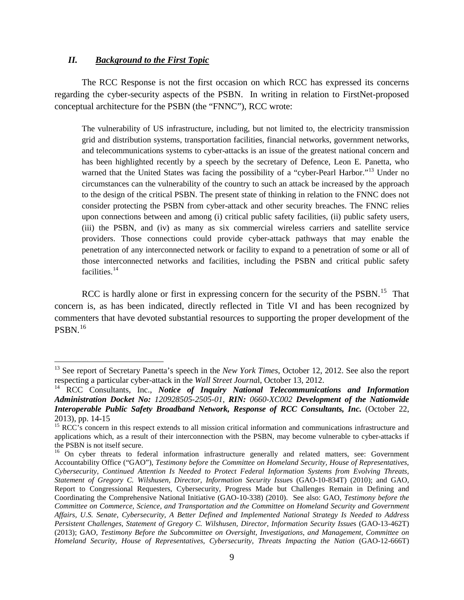#### *II. Background to the First Topic*

l

The RCC Response is not the first occasion on which RCC has expressed its concerns regarding the cyber-security aspects of the PSBN. In writing in relation to FirstNet-proposed conceptual architecture for the PSBN (the "FNNC"), RCC wrote:

The vulnerability of US infrastructure, including, but not limited to, the electricity transmission grid and distribution systems, transportation facilities, financial networks, government networks, and telecommunications systems to cyber-attacks is an issue of the greatest national concern and has been highlighted recently by a speech by the secretary of Defence, Leon E. Panetta, who warned that the United States was facing the possibility of a "cyber-Pearl Harbor."<sup>[13](#page-8-0)</sup> Under no circumstances can the vulnerability of the country to such an attack be increased by the approach to the design of the critical PSBN. The present state of thinking in relation to the FNNC does not consider protecting the PSBN from cyber-attack and other security breaches. The FNNC relies upon connections between and among (i) critical public safety facilities, (ii) public safety users, (iii) the PSBN, and (iv) as many as six commercial wireless carriers and satellite service providers. Those connections could provide cyber-attack pathways that may enable the penetration of any interconnected network or facility to expand to a penetration of some or all of those interconnected networks and facilities, including the PSBN and critical public safety facilities.<sup>[14](#page-8-1)</sup>

RCC is hardly alone or first in expressing concern for the security of the PSBN.<sup>[15](#page-8-2)</sup> That concern is, as has been indicated, directly reflected in Title VI and has been recognized by commenters that have devoted substantial resources to supporting the proper development of the  $PSBN.<sup>16</sup>$ 

<span id="page-8-0"></span><sup>&</sup>lt;sup>13</sup> See report of Secretary Panetta's speech in the *New York Times*, October 12, 2012. See also the report respecting a particular cyber-attack in the *Wall Street Journa*l, October 13, 2012.

<span id="page-8-1"></span><sup>14</sup> RCC Consultants, Inc., *Notice of Inquiry National Telecommunications and Information Administration Docket No: 120928505-2505-01, RIN: 0660-XC002 Development of the Nationwide Interoperable Public Safety Broadband Network, Response of RCC Consultants, Inc.* (October 22,

<span id="page-8-2"></span><sup>2013),</sup> pp. 14-15<br><sup>15</sup> RCC's concern in this respect extends to all mission critical information and communications infrastructure and applications which, as a result of their interconnection with the PSBN, may become vulnerable to cyber-attacks if the PSBN is not itself secure.

<span id="page-8-3"></span><sup>&</sup>lt;sup>16</sup> On cyber threats to federal information infrastructure generally and related matters, see: Government Accountability Office ("GAO"), *Testimony before the Committee on Homeland Security, House of Representatives, Cybersecurity, Continued Attention Is Needed to Protect Federal Information Systems from Evolving Threats, Statement of Gregory C. Wilshusen, Director, Information Security Issue*s (GAO-10-834T) (2010); and GAO, Report to Congressional Requesters, Cybersecurity, Progress Made but Challenges Remain in Defining and Coordinating the Comprehensive National Initiative (GAO-10-338) (2010). See also: GAO, *Testimony before the Committee on Commerce, Science, and Transportation and the Committee on Homeland Security and Government Affairs, U.S. Senate, Cybersecurity, A Better Defined and Implemented National Strategy Is Needed to Address Persistent Challenges, Statement of Gregory C. Wilshusen, Director, Information Security Issue*s (GAO-13-462T) (2013); GAO, *Testimony Before the Subcommittee on Oversight, Investigations, and Management, Committee on Homeland Security, House of Representatives, Cybersecurity, Threats Impacting the Nation* (GAO-12-666T)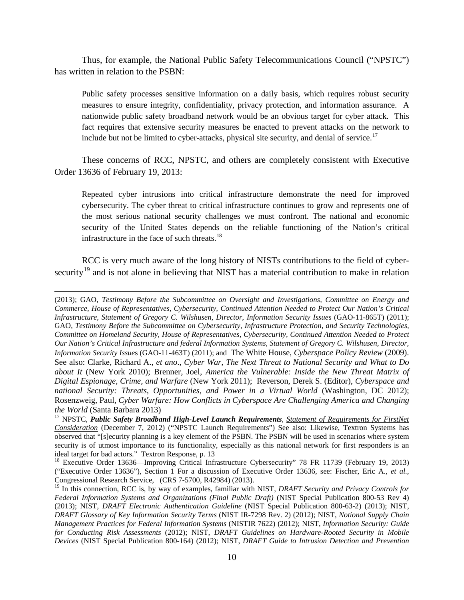Thus, for example, the National Public Safety Telecommunications Council ("NPSTC") has written in relation to the PSBN:

Public safety processes sensitive information on a daily basis, which requires robust security measures to ensure integrity, confidentiality, privacy protection, and information assurance. A nationwide public safety broadband network would be an obvious target for cyber attack. This fact requires that extensive security measures be enacted to prevent attacks on the network to include but not be limited to cyber-attacks, physical site security, and denial of service.<sup>[17](#page-9-0)</sup>

These concerns of RCC, NPSTC, and others are completely consistent with Executive Order 13636 of February 19, 2013:

Repeated cyber intrusions into critical infrastructure demonstrate the need for improved cybersecurity. The cyber threat to critical infrastructure continues to grow and represents one of the most serious national security challenges we must confront. The national and economic security of the United States depends on the reliable functioning of the Nation's critical infrastructure in the face of such threats.<sup>[18](#page-9-1)</sup>

RCC is very much aware of the long history of NISTs contributions to the field of cyber-security<sup>[19](#page-9-2)</sup> and is not alone in believing that NIST has a material contribution to make in relation

<sup>(2013);</sup> GAO, *Testimony Before the Subcommittee on Oversight and Investigations, Committee on Energy and Commerce, House of Representatives, Cybersecurity, Continued Attention Needed to Protect Our Nation's Critical Infrastructure, Statement of Gregory C. Wilshusen, Director, Information Security Issue*s (GAO-11-865T) (2011); GAO, *Testimony Before the Subcommittee on Cybersecurity, Infrastructure Protection, and Security Technologies, Committee on Homeland Security, House of Representatives, Cybersecurity, Continued Attention Needed to Protect Our Nation's Critical Infrastructure and federal Information Systems, Statement of Gregory C. Wilshusen, Director, Information Security Issue*s (GAO-11-463T) (2011); and The White House, *Cyberspace Policy Review* (2009). See also: Clarke, Richard A., *et ano*., *Cyber War, The Next Threat to National Security and What to Do about It* (New York 2010); Brenner, Joel, *America the Vulnerable: Inside the New Threat Matrix of Digital Espionage, Crime, and Warfare* (New York 2011); Reverson, Derek S. (Editor), *Cyberspace and national Security: Threats, Opportunities, and Power in a Virtual World* (Washington, DC 2012); Rosenzweig, Paul, *Cyber Warfare: How Conflicts in Cyberspace Are Challenging America and Changing* 

<span id="page-9-0"></span><sup>&</sup>lt;sup>17</sup> NPSTC, *Public Safety Broadband High-Level Launch Requirements*, *Statement of Requirements for FirstNet Consideration* (December 7, 2012) ("NPSTC Launch Requirements") See also: Likewise, Textron Systems has observed that "[s]ecurity planning is a key element of the PSBN. The PSBN will be used in scenarios where system security is of utmost importance to its functionality, especially as this national network for first responders is an ideal target for bad actors." Textron Response, p. 13

<span id="page-9-1"></span><sup>&</sup>lt;sup>18</sup> Executive Order 13636—Improving Critical Infrastructure Cybersecurity" 78 FR 11739 (February 19, 2013) ("Executive Order 13636"), Section 1 For a discussion of Executive Order 13636, see: Fischer, Eric A., *et al.*, Congressional Research Service, (CRS 7-5700, R42984) (2013).

<span id="page-9-2"></span><sup>19</sup> In this connection, RCC is, by way of examples, familiar with NIST, *DRAFT Security and Privacy Controls for Federal Information Systems and Organizations (Final Public Draft)* (NIST Special Publication 800-53 Rev 4) (2013); NIST, *DRAFT Electronic Authentication Guideline* (NIST Special Publication 800-63-2) (2013); NIST, *DRAFT Glossary of Key Information Security Terms* (NIST IR-7298 Rev. 2) (2012); NIST, *Notional Supply Chain Management Practices for Federal Information Systems* (NISTIR 7622) (2012); NIST, *Information Security: Guide for Conducting Risk Assessments* (2012); NIST, *DRAFT Guidelines on Hardware-Rooted Security in Mobile Devices* (NIST Special Publication 800-164) (2012); NIST, *DRAFT Guide to Intrusion Detection and Prevention*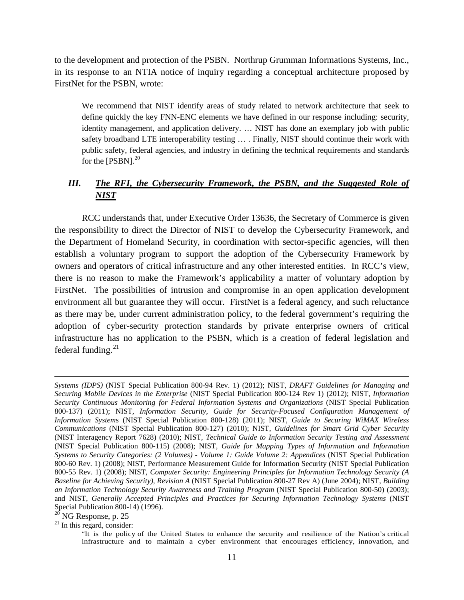to the development and protection of the PSBN. Northrup Grumman Informations Systems, Inc., in its response to an NTIA notice of inquiry regarding a conceptual architecture proposed by FirstNet for the PSBN, wrote:

We recommend that NIST identify areas of study related to network architecture that seek to define quickly the key FNN-ENC elements we have defined in our response including: security, identity management, and application delivery. … NIST has done an exemplary job with public safety broadband LTE interoperability testing … . Finally, NIST should continue their work with public safety, federal agencies, and industry in defining the technical requirements and standards for the  $[PSBN]$ .<sup>[20](#page-10-0)</sup>

# *III. The RFI, the Cybersecurity Framework, the PSBN, and the Suggested Role of NIST*

RCC understands that, under Executive Order 13636, the Secretary of Commerce is given the responsibility to direct the Director of NIST to develop the Cybersecurity Framework, and the Department of Homeland Security, in coordination with sector-specific agencies, will then establish a voluntary program to support the adoption of the Cybersecurity Framework by owners and operators of critical infrastructure and any other interested entities. In RCC's view, there is no reason to make the Framework's applicability a matter of voluntary adoption by FirstNet. The possibilities of intrusion and compromise in an open application development environment all but guarantee they will occur. FirstNet is a federal agency, and such reluctance as there may be, under current administration policy, to the federal government's requiring the adoption of cyber-security protection standards by private enterprise owners of critical infrastructure has no application to the PSBN, which is a creation of federal legislation and federal funding.<sup>[21](#page-10-1)</sup>

*Systems (IDPS)* (NIST Special Publication 800-94 Rev. 1) (2012); NIST, *DRAFT Guidelines for Managing and Securing Mobile Devices in the Enterprise* (NIST Special Publication 800-124 Rev 1) (2012); NIST, *Information Security Continuous Monitoring for Federal Information Systems and Organizations* (NIST Special Publication 800-137) (2011); NIST, *Information Security, Guide for Security-Focused Configuration Management of Information System*s (NIST Special Publication 800-128) (2011); NIST, *Guide to Securing WiMAX Wireless Communications* (NIST Special Publication 800-127) (2010); NIST, *Guidelines for Smart Grid Cyber Securit*y (NIST Interagency Report 7628) (2010); NIST, *Technical Guide to Information Security Testing and Assessment* (NIST Special Publication 800-115) (2008); NIST, *Guide for Mapping Types of Information and Information Systems to Security Categories: (2 Volumes) - Volume 1: Guide Volume 2: Appendices* (NIST Special Publication 800-60 Rev. 1) (2008); NIST, Performance Measurement Guide for Information Security (NIST Special Publication 800-55 Rev. 1) (2008); NIST, *Computer Security: Engineering Principles for Information Technology Security (A Baseline for Achieving Security), Revision A* (NIST Special Publication 800-27 Rev A) (June 2004); NIST, *Building an Information Technology Security Awareness and Training Program* (NIST Special Publication 800-50) (2003); and NIST, *Generally Accepted Principles and Practices for Securing Information Technology Systems* (NIST Special Publication 800-14) (1996).<br><sup>20</sup> NG Response, p. 25

<span id="page-10-0"></span>

<span id="page-10-1"></span> $21$  In this regard, consider:

<sup>&</sup>quot;It is the policy of the United States to enhance the security and resilience of the Nation's critical infrastructure and to maintain a cyber environment that encourages efficiency, innovation, and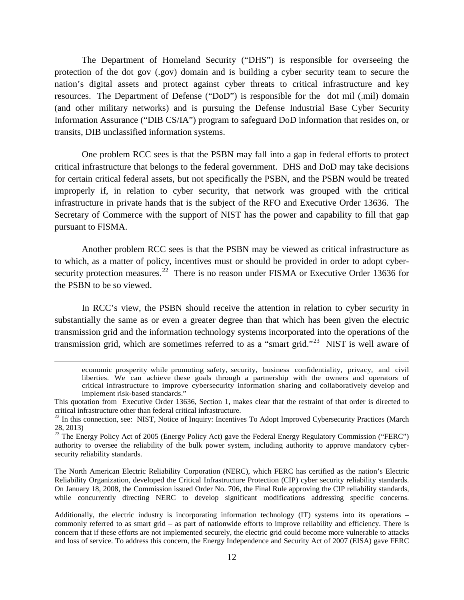The Department of Homeland Security ("DHS") is responsible for overseeing the protection of the dot gov (.gov) domain and is building a cyber security team to secure the nation's digital assets and protect against cyber threats to critical infrastructure and key resources. The Department of Defense ("DoD") is responsible for the dot mil (.mil) domain (and other military networks) and is pursuing the Defense Industrial Base Cyber Security Information Assurance ("DIB CS/IA") program to safeguard DoD information that resides on, or transits, DIB unclassified information systems.

One problem RCC sees is that the PSBN may fall into a gap in federal efforts to protect critical infrastructure that belongs to the federal government. DHS and DoD may take decisions for certain critical federal assets, but not specifically the PSBN, and the PSBN would be treated improperly if, in relation to cyber security, that network was grouped with the critical infrastructure in private hands that is the subject of the RFO and Executive Order 13636. The Secretary of Commerce with the support of NIST has the power and capability to fill that gap pursuant to FISMA.

Another problem RCC sees is that the PSBN may be viewed as critical infrastructure as to which, as a matter of policy, incentives must or should be provided in order to adopt cyber-security protection measures.<sup>[22](#page-11-0)</sup> There is no reason under FISMA or Executive Order 13636 for the PSBN to be so viewed.

In RCC's view, the PSBN should receive the attention in relation to cyber security in substantially the same as or even a greater degree than that which has been given the electric transmission grid and the information technology systems incorporated into the operations of the transmission grid, which are sometimes referred to as a "smart grid."<sup>23</sup> NIST is well aware of

l

The North American Electric Reliability Corporation (NERC), which FERC has certified as the nation's Electric Reliability Organization, developed the Critical Infrastructure Protection (CIP) cyber security reliability standards. On January 18, 2008, the Commission issued Order No. 706, the Final Rule approving the CIP reliability standards, while concurrently directing NERC to develop significant modifications addressing specific concerns.

economic prosperity while promoting safety, security, business confidentiality, privacy, and civil liberties. We can achieve these goals through a partnership with the owners and operators of critical infrastructure to improve cybersecurity information sharing and collaboratively develop and implement risk-based standards."

This quotation from Executive Order 13636, Section 1, makes clear that the restraint of that order is directed to critical infrastructure other than federal critical infrastructure.

<span id="page-11-0"></span> $22$  In this connection, see: NIST, Notice of Inquiry: Incentives To Adopt Improved Cybersecurity Practices (March 28, 2013)

<span id="page-11-1"></span> $^{23}$  The Energy Policy Act of 2005 (Energy Policy Act) gave the Federal Energy Regulatory Commission ("FERC") authority to oversee the reliability of the bulk power system, including authority to approve mandatory cybersecurity reliability standards.

Additionally, the electric industry is incorporating information technology (IT) systems into its operations – commonly referred to as smart grid – as part of nationwide efforts to improve reliability and efficiency. There is concern that if these efforts are not implemented securely, the electric grid could become more vulnerable to attacks and loss of service. To address this concern, the Energy Independence and Security Act of 2007 (EISA) gave FERC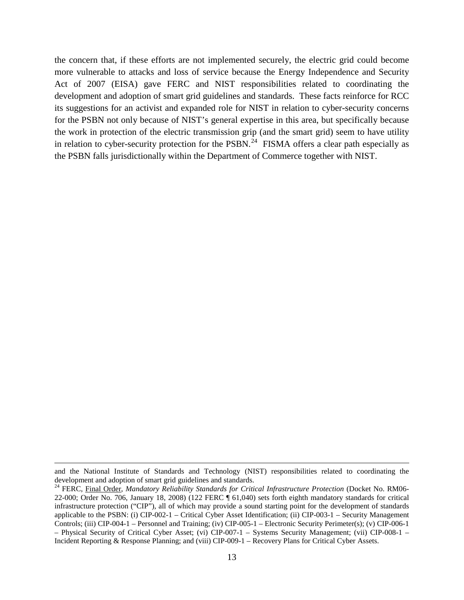the concern that, if these efforts are not implemented securely, the electric grid could become more vulnerable to attacks and loss of service because the Energy Independence and Security Act of 2007 (EISA) gave FERC and NIST responsibilities related to coordinating the development and adoption of smart grid guidelines and standards. These facts reinforce for RCC its suggestions for an activist and expanded role for NIST in relation to cyber-security concerns for the PSBN not only because of NIST's general expertise in this area, but specifically because the work in protection of the electric transmission grip (and the smart grid) seem to have utility in relation to cyber-security protection for the PSBN.<sup>24</sup> FISMA offers a clear path especially as the PSBN falls jurisdictionally within the Department of Commerce together with NIST.

and the National Institute of Standards and Technology (NIST) responsibilities related to coordinating the development and adoption of smart grid guidelines and standards.

<span id="page-12-0"></span><sup>24</sup> FERC, Final Order, *Mandatory Reliability Standards for Critical Infrastructure Protection* (Docket No. RM06- 22-000; Order No. 706, January 18, 2008) (122 FERC ¶ 61,040) sets forth eighth mandatory standards for critical infrastructure protection ("CIP"), all of which may provide a sound starting point for the development of standards applicable to the PSBN: (i) CIP-002-1 – Critical Cyber Asset Identification; (ii) CIP-003-1 – Security Management Controls; (iii) CIP-004-1 – Personnel and Training; (iv) CIP-005-1 – Electronic Security Perimeter(s); (v) CIP-006-1 – Physical Security of Critical Cyber Asset; (vi) CIP-007-1 – Systems Security Management; (vii) CIP-008-1 – Incident Reporting & Response Planning; and (viii) CIP-009-1 – Recovery Plans for Critical Cyber Assets.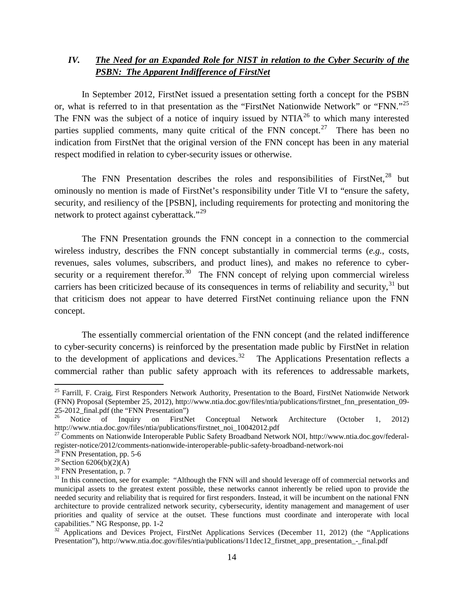## *IV. The Need for an Expanded Role for NIST in relation to the Cyber Security of the PSBN: The Apparent Indifference of FirstNet*

In September 2012, FirstNet issued a presentation setting forth a concept for the PSBN or, what is referred to in that presentation as the "FirstNet Nationwide Network" or "FNN."<sup>[25](#page-13-0)</sup> The FNN was the subject of a notice of inquiry issued by  $NTIA^{26}$  $NTIA^{26}$  $NTIA^{26}$  to which many interested parties supplied comments, many quite critical of the FNN concept.<sup>[27](#page-13-2)</sup> There has been no indication from FirstNet that the original version of the FNN concept has been in any material respect modified in relation to cyber-security issues or otherwise.

The FNN Presentation describes the roles and responsibilities of FirstNet,<sup>[28](#page-13-3)</sup> but ominously no mention is made of FirstNet's responsibility under Title VI to "ensure the safety, security, and resiliency of the [PSBN], including requirements for protecting and monitoring the network to protect against cyberattack."<sup>[29](#page-13-4)</sup>

The FNN Presentation grounds the FNN concept in a connection to the commercial wireless industry, describes the FNN concept substantially in commercial terms (*e.g.*, costs, revenues, sales volumes, subscribers, and product lines), and makes no reference to cyber-security or a requirement therefor.<sup>[30](#page-13-5)</sup> The FNN concept of relying upon commercial wireless carriers has been criticized because of its consequences in terms of reliability and security,  $31$  but that criticism does not appear to have deterred FirstNet continuing reliance upon the FNN concept.

The essentially commercial orientation of the FNN concept (and the related indifference to cyber-security concerns) is reinforced by the presentation made public by FirstNet in relation to the development of applications and devices.<sup>[32](#page-13-7)</sup> The Applications Presentation reflects a commercial rather than public safety approach with its references to addressable markets,

<span id="page-13-0"></span><sup>&</sup>lt;sup>25</sup> Farrill, F. Craig, First Responders Network Authority, Presentation to the Board, FirstNet Nationwide Network (FNN) Proposal (September 25, 2012), http://www.ntia.doc.gov/files/ntia/publications/firstnet\_fnn\_presentation\_09-

<span id="page-13-1"></span><sup>25-2012</sup>\_final.pdf (the "FNN Presentation")<br><sup>26</sup> Notice of Inquiry on FirstNet Conceptual Network Architecture (October 1, 2012)<br>http://www.ntia.doc.gov/files/ntia/publications/firstnet noi 10042012.pdf

<span id="page-13-2"></span><sup>&</sup>lt;sup>27</sup> Comments on Nationwide Interoperable Public Safety Broadband Network NOI, http://www.ntia.doc.gov/federalregister-notice/2012/comments-nationwide-interoperable-public-safety-broadband-network-noi<br><sup>28</sup> FNN Presentation, pp. 5-6<br><sup>29</sup> Section 6206(b)(2)(A)

<span id="page-13-3"></span>

<span id="page-13-6"></span><span id="page-13-5"></span><span id="page-13-4"></span><sup>&</sup>lt;sup>30</sup> FNN Presentation, p. 7<br><sup>31</sup> In this connection, see for example: "Although the FNN will and should leverage off of commercial networks and municipal assets to the greatest extent possible, these networks cannot inherently be relied upon to provide the needed security and reliability that is required for first responders. Instead, it will be incumbent on the national FNN architecture to provide centralized network security, cybersecurity, identity management and management of user priorities and quality of service at the outset. These functions must coordinate and interoperate with local capabilities." NG Response, pp. 1-2<br><sup>32</sup> Applications and Devices Project, FirstNet Applications Services (December 11, 2012) (the "Applications"

<span id="page-13-7"></span>Presentation"), http://www.ntia.doc.gov/files/ntia/publications/11dec12\_firstnet\_app\_presentation\_-\_final.pdf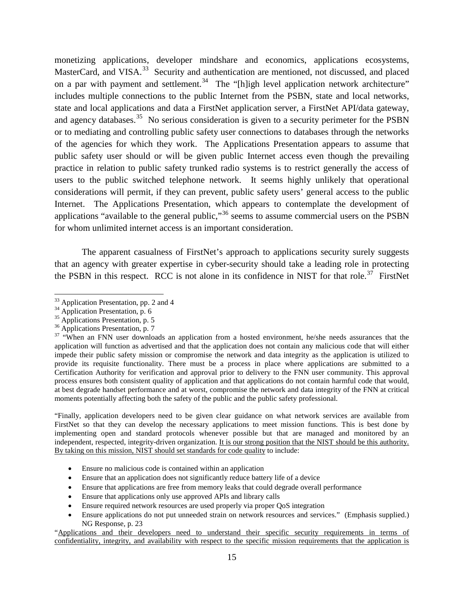monetizing applications, developer mindshare and economics, applications ecosystems, MasterCard, and VISA.<sup>[33](#page-14-0)</sup> Security and authentication are mentioned, not discussed, and placed on a par with payment and settlement.<sup>34</sup> The "[h]igh level application network architecture" includes multiple connections to the public Internet from the PSBN, state and local networks, state and local applications and data a FirstNet application server, a FirstNet API/data gateway, and agency databases.<sup>[35](#page-14-2)</sup> No serious consideration is given to a security perimeter for the PSBN or to mediating and controlling public safety user connections to databases through the networks of the agencies for which they work. The Applications Presentation appears to assume that public safety user should or will be given public Internet access even though the prevailing practice in relation to public safety trunked radio systems is to restrict generally the access of users to the public switched telephone network. It seems highly unlikely that operational considerations will permit, if they can prevent, public safety users' general access to the public Internet. The Applications Presentation, which appears to contemplate the development of applications "available to the general public,"<sup>[36](#page-14-3)</sup> seems to assume commercial users on the PSBN for whom unlimited internet access is an important consideration.

The apparent casualness of FirstNet's approach to applications security surely suggests that an agency with greater expertise in cyber-security should take a leading role in protecting the PSBN in this respect. RCC is not alone in its confidence in NIST for that role.<sup>37</sup> FirstNet

 $\overline{\phantom{a}}$ 

"Finally, application developers need to be given clear guidance on what network services are available from FirstNet so that they can develop the necessary applications to meet mission functions. This is best done by implementing open and standard protocols whenever possible but that are managed and monitored by an independent, respected, integrity-driven organization. It is our strong position that the NIST should be this authority. By taking on this mission, NIST should set standards for code quality to include:

- Ensure no malicious code is contained within an application
- Ensure that an application does not significantly reduce battery life of a device
- Ensure that applications are free from memory leaks that could degrade overall performance
- Ensure that applications only use approved APIs and library calls
- Ensure required network resources are used properly via proper QoS integration
- Ensure applications do not put unneeded strain on network resources and services." (Emphasis supplied.) NG Response, p. 23

<span id="page-14-1"></span>

<span id="page-14-2"></span>

<span id="page-14-4"></span><span id="page-14-3"></span>

<span id="page-14-0"></span><sup>&</sup>lt;sup>33</sup> Application Presentation, pp. 2 and 4<br><sup>34</sup> Application Presentation, p. 6<br><sup>35</sup> Applications Presentation, p. 5<br><sup>36</sup> Applications Presentation, p. 7<br><sup>37</sup> "When an FNN user downloads an application from a hosted enviro application will function as advertised and that the application does not contain any malicious code that will either impede their public safety mission or compromise the network and data integrity as the application is utilized to provide its requisite functionality. There must be a process in place where applications are submitted to a Certification Authority for verification and approval prior to delivery to the FNN user community. This approval process ensures both consistent quality of application and that applications do not contain harmful code that would, at best degrade handset performance and at worst, compromise the network and data integrity of the FNN at critical moments potentially affecting both the safety of the public and the public safety professional.

<sup>&</sup>quot;Applications and their developers need to understand their specific security requirements in terms of confidentiality, integrity, and availability with respect to the specific mission requirements that the application is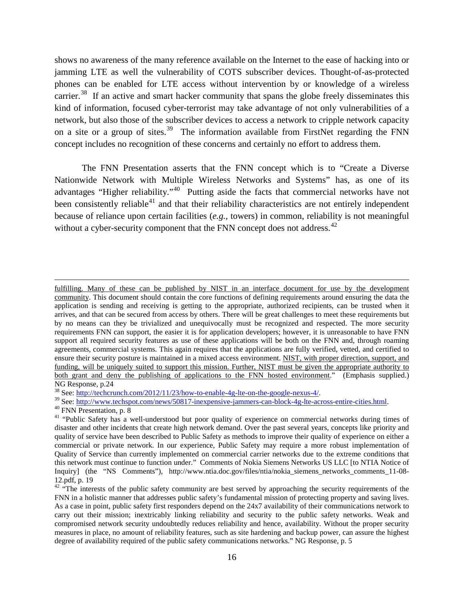shows no awareness of the many reference available on the Internet to the ease of hacking into or jamming LTE as well the vulnerability of COTS subscriber devices. Thought-of-as-protected phones can be enabled for LTE access without intervention by or knowledge of a wireless carrier.<sup>[38](#page-15-0)</sup> If an active and smart hacker community that spans the globe freely disseminates this kind of information, focused cyber-terrorist may take advantage of not only vulnerabilities of a network, but also those of the subscriber devices to access a network to cripple network capacity on a site or a group of sites.<sup>[39](#page-15-1)</sup> The information available from FirstNet regarding the FNN concept includes no recognition of these concerns and certainly no effort to address them.

The FNN Presentation asserts that the FNN concept which is to "Create a Diverse Nationwide Network with Multiple Wireless Networks and Systems" has, as one of its advantages "Higher reliability."[40](#page-15-2) Putting aside the facts that commercial networks have not been consistently reliable<sup>[41](#page-15-3)</sup> and that their reliability characteristics are not entirely independent because of reliance upon certain facilities (*e.g.*, towers) in common, reliability is not meaningful without a cyber-security component that the FNN concept does not address.<sup>[42](#page-15-4)</sup>

fulfilling. Many of these can be published by NIST in an interface document for use by the development community. This document should contain the core functions of defining requirements around ensuring the data the application is sending and receiving is getting to the appropriate, authorized recipients, can be trusted when it arrives, and that can be secured from access by others. There will be great challenges to meet these requirements but by no means can they be trivialized and unequivocally must be recognized and respected. The more security requirements FNN can support, the easier it is for application developers; however, it is unreasonable to have FNN support all required security features as use of these applications will be both on the FNN and, through roaming agreements, commercial systems. This again requires that the applications are fully verified, vetted, and certified to ensure their security posture is maintained in a mixed access environment. NIST, with proper direction, support, and funding, will be uniquely suited to support this mission. Further, NIST must be given the appropriate authority to both grant and deny the publishing of applications to the FNN hosted environment." (Emphasis supplied.)

<span id="page-15-0"></span>NG Response, p.24<br><sup>38</sup> See: http://techcrunch.com/2012/11/23/how-to-enable-4g-lte-on-the-google-nexus-4/.

<span id="page-15-3"></span><span id="page-15-2"></span>

<span id="page-15-1"></span><sup>&</sup>lt;sup>39</sup> See:  $\frac{http://www.techspot.com/news/50817-inexpensive-jammers-can-block-4g-lte-across-entire-cities.html}{\text{40 FNN} Presentation, p. 8}$ <br><sup>40</sup> FNN Presentation, p. 8<br><sup>41</sup> "Public Safety has a well-understood but poor quality of experience on commercial networks during times of disaster and other incidents that create high network demand. Over the past several years, concepts like priority and quality of service have been described to Public Safety as methods to improve their quality of experience on either a commercial or private network. In our experience, Public Safety may require a more robust implementation of Quality of Service than currently implemented on commercial carrier networks due to the extreme conditions that this network must continue to function under." Comments of Nokia Siemens Networks US LLC [to NTIA Notice of Inquiry] (the "NS Comments"), http://www.ntia.doc.gov/files/ntia/nokia\_siemens\_networks\_comments\_11-08-

<span id="page-15-4"></span> $42$  "The interests of the public safety community are best served by approaching the security requirements of the FNN in a holistic manner that addresses public safety's fundamental mission of protecting property and saving lives. As a case in point, public safety first responders depend on the 24x7 availability of their communications network to carry out their mission; inextricably linking reliability and security to the public safety networks. Weak and compromised network security undoubtedly reduces reliability and hence, availability. Without the proper security measures in place, no amount of reliability features, such as site hardening and backup power, can assure the highest degree of availability required of the public safety communications networks." NG Response, p. 5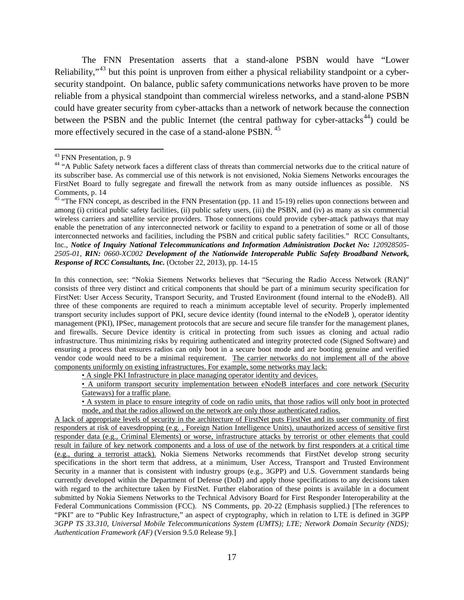The FNN Presentation asserts that a stand-alone PSBN would have "Lower Reliability,"<sup>[43](#page-16-0)</sup> but this point is unproven from either a physical reliability standpoint or a cybersecurity standpoint. On balance, public safety communications networks have proven to be more reliable from a physical standpoint than commercial wireless networks, and a stand-alone PSBN could have greater security from cyber-attacks than a network of network because the connection between the PSBN and the public Internet (the central pathway for cyber-attacks<sup>[44](#page-16-1)</sup>) could be more effectively secured in the case of a stand-alone PSBN. [45](#page-16-2)

 $\overline{\phantom{a}}$ 

In this connection, see: "Nokia Siemens Networks believes that "Securing the Radio Access Network (RAN)" consists of three very distinct and critical components that should be part of a minimum security specification for FirstNet: User Access Security, Transport Security, and Trusted Environment (found internal to the eNodeB). All three of these components are required to reach a minimum acceptable level of security. Properly implemented transport security includes support of PKI, secure device identity (found internal to the eNodeB ), operator identity management (PKI), IPSec, management protocols that are secure and secure file transfer for the management planes, and firewalls. Secure Device identity is critical in protecting from such issues as cloning and actual radio infrastructure. Thus minimizing risks by requiring authenticated and integrity protected code (Signed Software) and ensuring a process that ensures radios can only boot in a secure boot mode and are booting genuine and verified vendor code would need to be a minimal requirement. The carrier networks do not implement all of the above components uniformly on existing infrastructures. For example, some networks may lack:

• A single PKI Infrastructure in place managing operator identity and devices.

• A uniform transport security implementation between eNodeB interfaces and core network (Security Gateways) for a traffic plane.

• A system in place to ensure integrity of code on radio units, that those radios will only boot in protected mode, and that the radios allowed on the network are only those authenticated radios.

A lack of appropriate levels of security in the architecture of FirstNet puts FirstNet and its user community of first responders at risk of eavesdropping (e.g. , Foreign Nation Intelligence Units), unauthorized access of sensitive first responder data (e.g., Criminal Elements) or worse, infrastructure attacks by terrorist or other elements that could result in failure of key network components and a loss of use of the network by first responders at a critical time (e.g., during a terrorist attack). Nokia Siemens Networks recommends that FirstNet develop strong security specifications in the short term that address, at a minimum, User Access, Transport and Trusted Environment Security in a manner that is consistent with industry groups (e.g., 3GPP) and U.S. Government standards being currently developed within the Department of Defense (DoD) and apply those specifications to any decisions taken with regard to the architecture taken by FirstNet. Further elaboration of these points is available in a document submitted by Nokia Siemens Networks to the Technical Advisory Board for First Responder Interoperability at the Federal Communications Commission (FCC). NS Comments, pp. 20-22 (Emphasis supplied.) [The references to "PKI" are to "Public Key Infrastructure," an aspect of cryptography, which in relation to LTE is defined in 3GPP *3GPP TS 33.310, Universal Mobile Telecommunications System (UMTS); LTE; Network Domain Security (NDS); Authentication Framework (AF)* (Version 9.5.0 Release 9).]

<span id="page-16-1"></span><span id="page-16-0"></span><sup>&</sup>lt;sup>43</sup> FNN Presentation, p. 9<br><sup>44</sup> "A Public Safety network faces a different class of threats than commercial networks due to the critical nature of its subscriber base. As commercial use of this network is not envisioned, Nokia Siemens Networks encourages the FirstNet Board to fully segregate and firewall the network from as many outside influences as possible. NS<br>Comments, p. 14

<span id="page-16-2"></span> $45$  "The FNN concept, as described in the FNN Presentation (pp. 11 and 15-19) relies upon connections between and among (i) critical public safety facilities, (ii) public safety users, (iii) the PSBN, and (iv) as many as six commercial wireless carriers and satellite service providers. Those connections could provide cyber-attack pathways that may enable the penetration of any interconnected network or facility to expand to a penetration of some or all of those interconnected networks and facilities, including the PSBN and critical public safety facilities." RCC Consultants, Inc., *Notice of Inquiry National Telecommunications and Information Administration Docket No: 120928505-2505-01, RIN: 0660-XC002 Development of the Nationwide Interoperable Public Safety Broadband Network, Response of RCC Consultants, Inc.* (October 22, 2013), pp. 14-15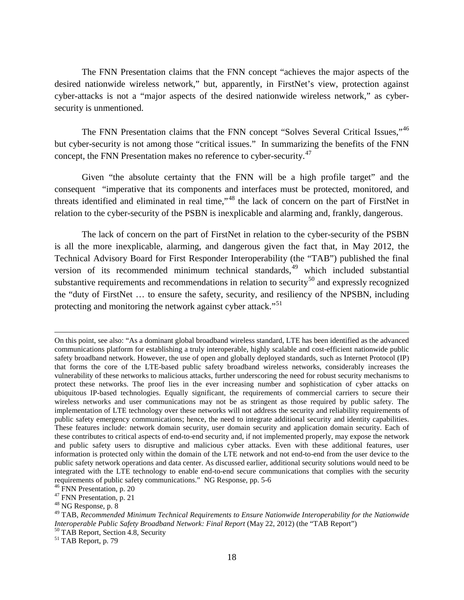The FNN Presentation claims that the FNN concept "achieves the major aspects of the desired nationwide wireless network," but, apparently, in FirstNet's view, protection against cyber-attacks is not a "major aspects of the desired nationwide wireless network," as cybersecurity is unmentioned.

The FNN Presentation claims that the FNN concept "Solves Several Critical Issues,"<sup>[46](#page-17-0)</sup> but cyber-security is not among those "critical issues." In summarizing the benefits of the FNN concept, the FNN Presentation makes no reference to cyber-security.<sup>[47](#page-17-1)</sup>

Given "the absolute certainty that the FNN will be a high profile target" and the consequent "imperative that its components and interfaces must be protected, monitored, and threats identified and eliminated in real time,"[48](#page-17-2) the lack of concern on the part of FirstNet in relation to the cyber-security of the PSBN is inexplicable and alarming and, frankly, dangerous.

The lack of concern on the part of FirstNet in relation to the cyber-security of the PSBN is all the more inexplicable, alarming, and dangerous given the fact that, in May 2012, the Technical Advisory Board for First Responder Interoperability (the "TAB") published the final version of its recommended minimum technical standards,<sup>[49](#page-17-3)</sup> which included substantial substantive requirements and recommendations in relation to security<sup>[50](#page-17-4)</sup> and expressly recognized the "duty of FirstNet … to ensure the safety, security, and resiliency of the NPSBN, including protecting and monitoring the network against cyber attack."<sup>[51](#page-17-5)</sup>

On this point, see also: "As a dominant global broadband wireless standard, LTE has been identified as the advanced communications platform for establishing a truly interoperable, highly scalable and cost-efficient nationwide public safety broadband network. However, the use of open and globally deployed standards, such as Internet Protocol (IP) that forms the core of the LTE-based public safety broadband wireless networks, considerably increases the vulnerability of these networks to malicious attacks, further underscoring the need for robust security mechanisms to protect these networks. The proof lies in the ever increasing number and sophistication of cyber attacks on ubiquitous IP-based technologies. Equally significant, the requirements of commercial carriers to secure their wireless networks and user communications may not be as stringent as those required by public safety. The implementation of LTE technology over these networks will not address the security and reliability requirements of public safety emergency communications; hence, the need to integrate additional security and identity capabilities. These features include: network domain security, user domain security and application domain security. Each of these contributes to critical aspects of end-to-end security and, if not implemented properly, may expose the network and public safety users to disruptive and malicious cyber attacks. Even with these additional features, user information is protected only within the domain of the LTE network and not end-to-end from the user device to the public safety network operations and data center. As discussed earlier, additional security solutions would need to be integrated with the LTE technology to enable end-to-end secure communications that complies with the security requirements of public safety communications." NG Response, pp. 5-6 <br><sup>46</sup> FNN Presentation, p. 20<br><sup>47</sup> FNN Presentation, p. 21<br><sup>48</sup> NG Response, p. 8

<span id="page-17-0"></span>

<span id="page-17-1"></span>

<span id="page-17-3"></span><span id="page-17-2"></span><sup>49</sup> TAB, *Recommended Minimum Technical Requirements to Ensure Nationwide Interoperability for the Nationwide Interoperable Public Safety Broadband Network: Final Report* (May 22, 2012) (the "TAB Report") <sup>50</sup> TAB Report, Section 4.8, Security <sup>51</sup> TAB Report, p. 79

<span id="page-17-5"></span><span id="page-17-4"></span>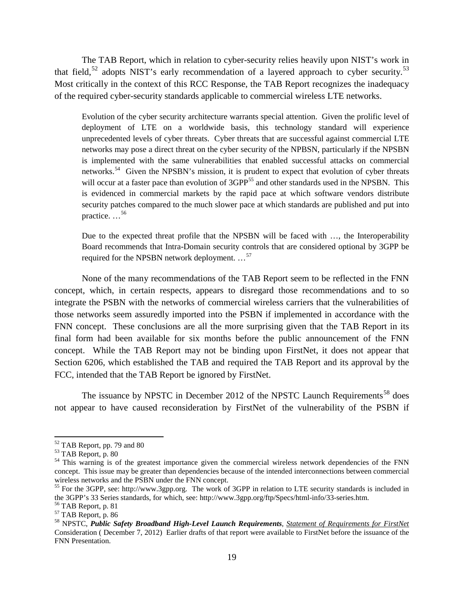The TAB Report, which in relation to cyber-security relies heavily upon NIST's work in that field,<sup>[52](#page-18-0)</sup> adopts NIST's early recommendation of a layered approach to cyber security.<sup>[53](#page-18-1)</sup> Most critically in the context of this RCC Response, the TAB Report recognizes the inadequacy of the required cyber-security standards applicable to commercial wireless LTE networks.

Evolution of the cyber security architecture warrants special attention. Given the prolific level of deployment of LTE on a worldwide basis, this technology standard will experience unprecedented levels of cyber threats. Cyber threats that are successful against commercial LTE networks may pose a direct threat on the cyber security of the NPBSN, particularly if the NPSBN is implemented with the same vulnerabilities that enabled successful attacks on commercial networks.<sup>54</sup> Given the NPSBN's mission, it is prudent to expect that evolution of cyber threats will occur at a faster pace than evolution of 3GPP<sup>[55](#page-18-3)</sup> and other standards used in the NPSBN. This is evidenced in commercial markets by the rapid pace at which software vendors distribute security patches compared to the much slower pace at which standards are published and put into practice. …[56](#page-18-4)

Due to the expected threat profile that the NPSBN will be faced with …, the Interoperability Board recommends that Intra-Domain security controls that are considered optional by 3GPP be required for the NPSBN network deployment. ...<sup>[57](#page-18-5)</sup>

None of the many recommendations of the TAB Report seem to be reflected in the FNN concept, which, in certain respects, appears to disregard those recommendations and to so integrate the PSBN with the networks of commercial wireless carriers that the vulnerabilities of those networks seem assuredly imported into the PSBN if implemented in accordance with the FNN concept. These conclusions are all the more surprising given that the TAB Report in its final form had been available for six months before the public announcement of the FNN concept. While the TAB Report may not be binding upon FirstNet, it does not appear that Section 6206, which established the TAB and required the TAB Report and its approval by the FCC, intended that the TAB Report be ignored by FirstNet.

The issuance by NPSTC in December 2012 of the NPSTC Launch Requirements<sup>[58](#page-18-6)</sup> does not appear to have caused reconsideration by FirstNet of the vulnerability of the PSBN if

<span id="page-18-2"></span>

<span id="page-18-1"></span><span id="page-18-0"></span><sup>&</sup>lt;sup>52</sup> TAB Report, pp. 79 and 80<br><sup>53</sup> TAB Report, p. 80<br><sup>54</sup> This warning is of the greatest importance given the commercial wireless network dependencies of the FNN concept. This issue may be greater than dependencies because of the intended interconnections between commercial wireless networks and the PSBN under the FNN concept.

<span id="page-18-3"></span><sup>&</sup>lt;sup>55</sup> For the 3GPP, see: http://www.3gpp.org. The work of 3GPP in relation to LTE security standards is included in the 3GPP's 33 Series standards, for which, see: http://www.3gpp.org/ftp/Specs/html-info/33-series.htm.

<span id="page-18-6"></span>

<span id="page-18-5"></span><span id="page-18-4"></span><sup>&</sup>lt;sup>56</sup> TAB Report, p. 81<br><sup>57</sup> TAB Report, p. 86<br><sup>58</sup> NPSTC, *Public Safety Broadband High-Level Launch Requirements, <u>Statement of Requirements for FirstNet</u>* Consideration ( December 7, 2012) Earlier drafts of that report were available to FirstNet before the issuance of the FNN Presentation.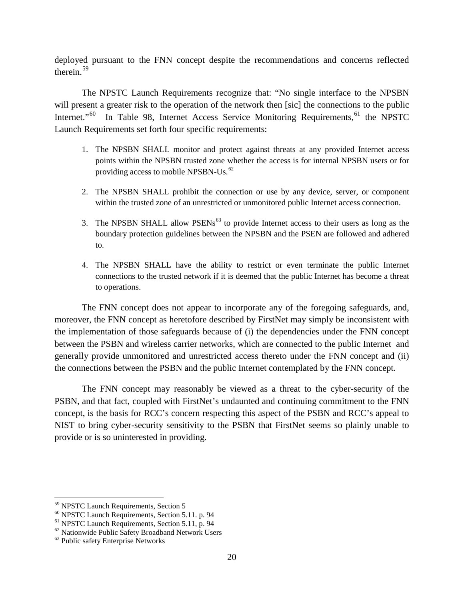deployed pursuant to the FNN concept despite the recommendations and concerns reflected therein.<sup>[59](#page-19-0)</sup>

The NPSTC Launch Requirements recognize that: "No single interface to the NPSBN will present a greater risk to the operation of the network then [sic] the connections to the public Internet."<sup>[60](#page-19-1)</sup> In Table 98, Internet Access Service Monitoring Requirements, <sup>[61](#page-19-2)</sup> the NPSTC Launch Requirements set forth four specific requirements:

- 1. The NPSBN SHALL monitor and protect against threats at any provided Internet access points within the NPSBN trusted zone whether the access is for internal NPSBN users or for providing access to mobile NPSBN-Us.<sup>[62](#page-19-3)</sup>
- 2. The NPSBN SHALL prohibit the connection or use by any device, server, or component within the trusted zone of an unrestricted or unmonitored public Internet access connection.
- 3. The NPSBN SHALL allow PSENs<sup> $63$ </sup> to provide Internet access to their users as long as the boundary protection guidelines between the NPSBN and the PSEN are followed and adhered to.
- 4. The NPSBN SHALL have the ability to restrict or even terminate the public Internet connections to the trusted network if it is deemed that the public Internet has become a threat to operations.

The FNN concept does not appear to incorporate any of the foregoing safeguards, and, moreover, the FNN concept as heretofore described by FirstNet may simply be inconsistent with the implementation of those safeguards because of (i) the dependencies under the FNN concept between the PSBN and wireless carrier networks, which are connected to the public Internet and generally provide unmonitored and unrestricted access thereto under the FNN concept and (ii) the connections between the PSBN and the public Internet contemplated by the FNN concept.

The FNN concept may reasonably be viewed as a threat to the cyber-security of the PSBN, and that fact, coupled with FirstNet's undaunted and continuing commitment to the FNN concept, is the basis for RCC's concern respecting this aspect of the PSBN and RCC's appeal to NIST to bring cyber-security sensitivity to the PSBN that FirstNet seems so plainly unable to provide or is so uninterested in providing.

<span id="page-19-0"></span><sup>&</sup>lt;sup>59</sup> NPSTC Launch Requirements, Section 5

<span id="page-19-2"></span><span id="page-19-1"></span><sup>&</sup>lt;sup>60</sup> NPSTC Launch Requirements, Section 5.11. p. 94<br><sup>61</sup> NPSTC Launch Requirements, Section 5.11, p. 94<br><sup>62</sup> Nationwide Public Safety Broadband Network Users<br><sup>63</sup> Public safety Enterprise Networks

<span id="page-19-4"></span><span id="page-19-3"></span>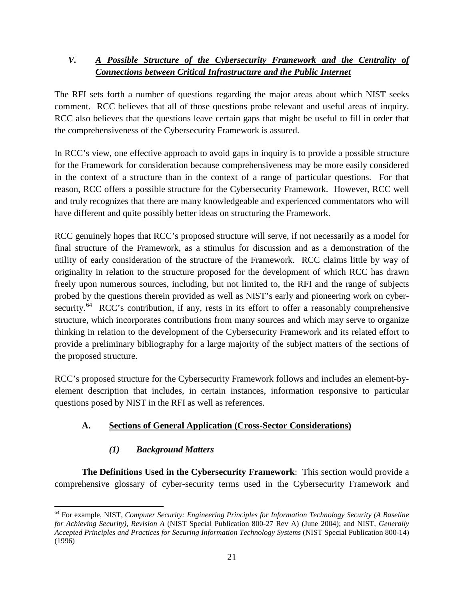# *V. A Possible Structure of the Cybersecurity Framework and the Centrality of Connections between Critical Infrastructure and the Public Internet*

The RFI sets forth a number of questions regarding the major areas about which NIST seeks comment. RCC believes that all of those questions probe relevant and useful areas of inquiry. RCC also believes that the questions leave certain gaps that might be useful to fill in order that the comprehensiveness of the Cybersecurity Framework is assured.

In RCC's view, one effective approach to avoid gaps in inquiry is to provide a possible structure for the Framework for consideration because comprehensiveness may be more easily considered in the context of a structure than in the context of a range of particular questions. For that reason, RCC offers a possible structure for the Cybersecurity Framework. However, RCC well and truly recognizes that there are many knowledgeable and experienced commentators who will have different and quite possibly better ideas on structuring the Framework.

RCC genuinely hopes that RCC's proposed structure will serve, if not necessarily as a model for final structure of the Framework, as a stimulus for discussion and as a demonstration of the utility of early consideration of the structure of the Framework. RCC claims little by way of originality in relation to the structure proposed for the development of which RCC has drawn freely upon numerous sources, including, but not limited to, the RFI and the range of subjects probed by the questions therein provided as well as NIST's early and pioneering work on cybersecurity.<sup>64</sup> RCC's contribution, if any, rests in its effort to offer a reasonably comprehensive structure, which incorporates contributions from many sources and which may serve to organize thinking in relation to the development of the Cybersecurity Framework and its related effort to provide a preliminary bibliography for a large majority of the subject matters of the sections of the proposed structure.

RCC's proposed structure for the Cybersecurity Framework follows and includes an element-byelement description that includes, in certain instances, information responsive to particular questions posed by NIST in the RFI as well as references.

# **A. Sections of General Application (Cross-Sector Considerations)**

# *(1) Background Matters*

l

**The Definitions Used in the Cybersecurity Framework**: This section would provide a comprehensive glossary of cyber-security terms used in the Cybersecurity Framework and

<span id="page-20-0"></span><sup>64</sup> For example, NIST, *Computer Security: Engineering Principles for Information Technology Security (A Baseline for Achieving Security), Revision A* (NIST Special Publication 800-27 Rev A) (June 2004); and NIST, *Generally Accepted Principles and Practices for Securing Information Technology Systems* (NIST Special Publication 800-14) (1996)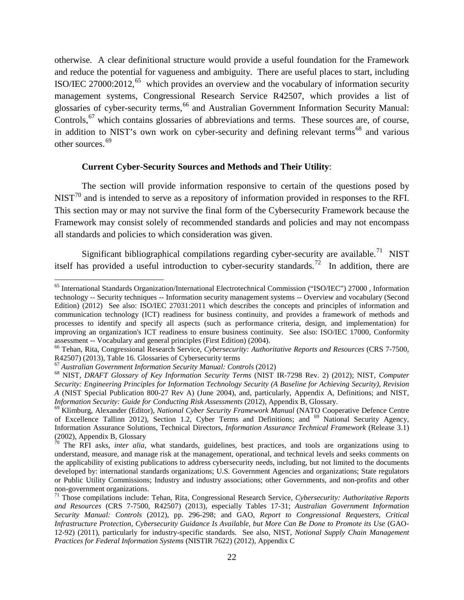otherwise. A clear definitional structure would provide a useful foundation for the Framework and reduce the potential for vagueness and ambiguity. There are useful places to start, including ISO/IEC 27000:2012,<sup>[65](#page-21-0)</sup> which provides an overview and the vocabulary of information security management systems, Congressional Research Service R42507, which provides a list of glossaries of cyber-security terms, [66](#page-21-1) and Australian Government Information Security Manual: Controls,  $67$  which contains glossaries of abbreviations and terms. These sources are, of course, in addition to NIST's own work on cyber-security and defining relevant terms<sup>[68](#page-21-3)</sup> and various other sources.<sup>[69](#page-21-4)</sup>

#### **Current Cyber-Security Sources and Methods and Their Utility**:

The section will provide information responsive to certain of the questions posed by  $NIST<sup>70</sup>$  $NIST<sup>70</sup>$  $NIST<sup>70</sup>$  and is intended to serve as a repository of information provided in responses to the RFI. This section may or may not survive the final form of the Cybersecurity Framework because the Framework may consist solely of recommended standards and policies and may not encompass all standards and policies to which consideration was given.

Significant bibliographical compilations regarding cyber-security are available.<sup>[71](#page-21-6)</sup> NIST itself has provided a useful introduction to cyber-security standards.<sup>72</sup> In addition, there are

<span id="page-21-0"></span><sup>65</sup> International Standards Organization/International Electrotechnical Commission ("ISO/IEC") 27000 , Information technology -- Security techniques -- Information security management systems -- Overview and vocabulary (Second Edition) (2012) See also: ISO/IEC 27031:2011 which describes the concepts and principles of information and communication technology (ICT) readiness for business continuity, and provides a framework of methods and processes to identify and specify all aspects (such as performance criteria, design, and implementation) for improving an organization's ICT readiness to ensure business continuity. See also: ISO/IEC 17000, Conformity assessment -- Vocabulary and general principles (First Edition) (2004). 66 Tehan, Rita, Congressional Research Service, *Cybersecurity: Authoritative Reports and Resources* (CRS 7-7500,

<span id="page-21-1"></span>R42507) (2013), Table 16. Glossaries of Cybersecurity terms<br><sup>67</sup> Australian Government Information Security Manual: Controls (2012)

<span id="page-21-2"></span>

<span id="page-21-3"></span><sup>67</sup> *Australian Government Information Security Manual: Controls* (2012) <sup>68</sup> NIST, *DRAFT Glossary of Key Information Security Terms* (NIST IR-7298 Rev. 2) (2012); NIST, *Computer Security: Engineering Principles for Information Technology Security (A Baseline for Achieving Security), Revision A* (NIST Special Publication 800-27 Rev A) (June 2004), and, particularly, Appendix A, Definitions; and NIST, *Information Security: Guide for Conducting Risk Assessments* (2012), Appendix B, Glossary.

<span id="page-21-4"></span><sup>&</sup>lt;sup>69</sup> Klimburg, Alexander (Editor), *National Cyber Security Framework Manual* (NATO Cooperative Defence Centre of Excellence Tallinn 2012), Section 1.2, Cyber Terms and Definitions; and <sup>69</sup> National Security Agency, Information Assurance Solutions, Technical Directors, *Information Assurance Technical Framework* (Release 3.1) (2002), Appendix B, Glossary <sup>70</sup> The RFI asks, *inter alia*, what standards, guidelines, best practices, and tools are organizations using to

<span id="page-21-5"></span>understand, measure, and manage risk at the management, operational, and technical levels and seeks comments on the applicability of existing publications to address cybersecurity needs, including, but not limited to the documents developed by: international standards organizations; U.S. Government Agencies and organizations; State regulators or Public Utility Commissions; Industry and industry associations; other Governments, and non-profits and other

<span id="page-21-6"></span><sup>&</sup>lt;sup>71</sup> Those compilations include: Tehan, Rita, Congressional Research Service, *Cybersecurity: Authoritative Reports and Resources* (CRS 7-7500, R42507) (2013), especially Tables 17-31; *Australian Government Information Security Manual: Controls* (2012), pp. 296-298; and GAO, *Report to Congressional Requesters, Critical Infrastructure Protection, Cybersecurity Guidance Is Available, but More Can Be Done to Promote its Use* (GAO-12-92) (2011), particularly for industry-specific standards. See also, NIST, *Notional Supply Chain Management Practices for Federal Information Systems* (NISTIR 7622) (2012), Appendix C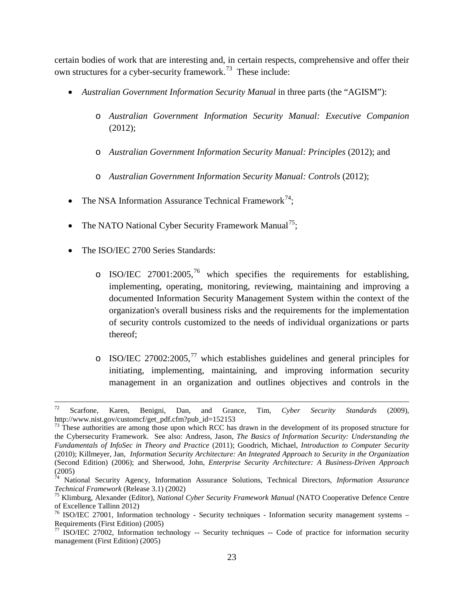certain bodies of work that are interesting and, in certain respects, comprehensive and offer their own structures for a cyber-security framework.<sup>73</sup> These include:

- *Australian Government Information Security Manual* in three parts (the "AGISM"):
	- o *Australian Government Information Security Manual: Executive Companion*  (2012);
	- o *Australian Government Information Security Manual: Principles* (2012); and
	- o *Australian Government Information Security Manual: Controls* (2012);
- The NSA Information Assurance Technical Framework<sup>[74](#page-22-1)</sup>;
- The NATO National Cyber Security Framework Manual<sup>[75](#page-22-2)</sup>;
- The ISO/IEC 2700 Series Standards:

- o ISO/IEC 27001:2005,<sup>[76](#page-22-3)</sup> which specifies the requirements for establishing, implementing, operating, monitoring, reviewing, maintaining and improving a documented Information Security Management System within the context of the organization's overall business risks and the requirements for the implementation of security controls customized to the needs of individual organizations or parts thereof;
- $\circ$  ISO/IEC 27002:2005,<sup>[77](#page-22-4)</sup> which establishes guidelines and general principles for initiating, implementing, maintaining, and improving information security management in an organization and outlines objectives and controls in the

<sup>72</sup> Scarfone, Karen, Benigni, Dan, and Grance, Tim, *Cyber Security Standards* (2009), http://www.nist.gov/customcf/get\_pdf.cfm?pub\_id=152153

<span id="page-22-0"></span><sup>&</sup>lt;sup>73</sup> These authorities are among those upon which RCC has drawn in the development of its proposed structure for the Cybersecurity Framework. See also: Andress, Jason, *The Basics of Information Security: Understanding the Fundamentals of InfoSec in Theory and Practice* (2011); Goodrich, Michael, *Introduction to Computer Security* (2010); Killmeyer, Jan, *Information Security Architecture: An Integrated Approach to Security in the Organization* (Second Edition) (2006); and Sherwood, John, *Enterprise Security Architecture: A Business-Driven Approach* (2005)

<span id="page-22-1"></span><sup>&</sup>lt;sup>74</sup> National Security Agency, Information Assurance Solutions, Technical Directors, *Information Assurance Technical Framework* (Release 3.1) (2002)

<sup>&</sup>lt;sup>75</sup> Klimburg, Alexander (Editor), *National Cyber Security Framework Manual* (NATO Cooperative Defence Centre

<span id="page-22-3"></span><span id="page-22-2"></span>of Excellence Tallinn 2012)<br><sup>76</sup> ISO/IEC 27001, Information technology - Security techniques - Information security management systems – Requirements (First Edition) (2005)<br>  $\frac{27}{7}$  ISO/IEC 27002, Information technology -- Security techniques -- Code of practice for information security

<span id="page-22-4"></span>management (First Edition) (2005)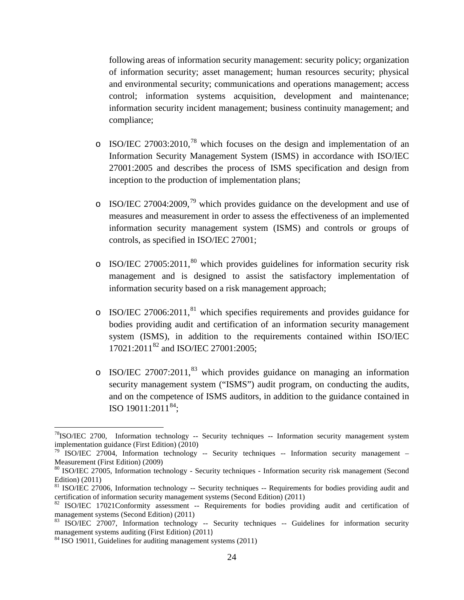following areas of information security management: security policy; organization of information security; asset management; human resources security; physical and environmental security; communications and operations management; access control; information systems acquisition, development and maintenance; information security incident management; business continuity management; and compliance;

- $\circ$  ISO/IEC 27003:2010,<sup>[78](#page-23-0)</sup> which focuses on the design and implementation of an Information Security Management System (ISMS) in accordance with ISO/IEC 27001:2005 and describes the process of ISMS specification and design from inception to the production of implementation plans;
- $\circ$  ISO/IEC 27004:2009,<sup>[79](#page-23-1)</sup> which provides guidance on the development and use of measures and measurement in order to assess the effectiveness of an implemented information security management system (ISMS) and controls or groups of controls, as specified in ISO/IEC 27001;
- $\circ$  ISO/IEC 27005:2011,<sup>[80](#page-23-2)</sup> which provides guidelines for information security risk management and is designed to assist the satisfactory implementation of information security based on a risk management approach;
- $\circ$  ISO/IEC 27006:2011,<sup>[81](#page-23-3)</sup> which specifies requirements and provides guidance for bodies providing audit and certification of an information security management system (ISMS), in addition to the requirements contained within ISO/IEC 17021:2011<sup>[82](#page-23-4)</sup> and ISO/IEC 27001:2005;
- o ISO/IEC 27007:2011, [83](#page-23-5) which provides guidance on managing an information security management system ("ISMS") audit program, on conducting the audits, and on the competence of ISMS auditors, in addition to the guidance contained in ISO 19011:2011<sup>[84](#page-23-6)</sup>;

<span id="page-23-0"></span> $^{78}$ ISO/IEC 2700, Information technology -- Security techniques -- Information security management system implementation guidance (First Edition) (2010)

<span id="page-23-1"></span> $79$  ISO/IEC 27004, Information technology -- Security techniques -- Information security management – Measurement (First Edition) (2009)

<span id="page-23-2"></span><sup>&</sup>lt;sup>80</sup> ISO/IEC 27005, Information technology - Security techniques - Information security risk management (Second Edition) (2011)

<span id="page-23-3"></span> $81$  ISO/IEC 27006, Information technology  $-$  Security techniques  $-$  Requirements for bodies providing audit and certification of information security management systems (Second Edition) (2011)

<span id="page-23-4"></span><sup>&</sup>lt;sup>82</sup> ISO/IEC 17021Conformity assessment -- Requirements for bodies providing audit and certification of management systems (Second Edition) (2011)

<span id="page-23-5"></span><sup>&</sup>lt;sup>83</sup> ISO/IEC 27007, Information technology -- Security techniques -- Guidelines for information security management systems auditing (First Edition) (2011)

<span id="page-23-6"></span> $84$  ISO 19011, Guidelines for auditing management systems (2011)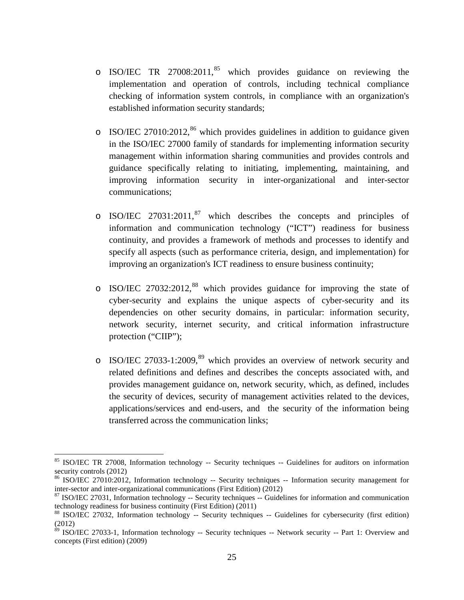- o ISO/IEC TR 27008:2011, [85](#page-24-0) which provides guidance on reviewing the implementation and operation of controls, including technical compliance checking of information system controls, in compliance with an organization's established information security standards;
- $\circ$  ISO/IEC 27010:2012,<sup>[86](#page-24-1)</sup> which provides guidelines in addition to guidance given in the ISO/IEC 27000 family of standards for implementing information security management within information sharing communities and provides controls and guidance specifically relating to initiating, implementing, maintaining, and improving information security in inter-organizational and inter-sector communications;
- $\circ$  ISO/IEC 27031:2011,<sup>[87](#page-24-2)</sup> which describes the concepts and principles of information and communication technology ("ICT") readiness for business continuity, and provides a framework of methods and processes to identify and specify all aspects (such as performance criteria, design, and implementation) for improving an organization's ICT readiness to ensure business continuity;
- o ISO/IEC 27032:2012,<sup>[88](#page-24-3)</sup> which provides guidance for improving the state of cyber-security and explains the unique aspects of cyber-security and its dependencies on other security domains, in particular: information security, network security, internet security, and critical information infrastructure protection ("CIIP");
- o ISO/IEC 27033-1:2009, [89](#page-24-4) which provides an overview of network security and related definitions and defines and describes the concepts associated with, and provides management guidance on, network security, which, as defined, includes the security of devices, security of management activities related to the devices, applications/services and end-users, and the security of the information being transferred across the communication links;

<span id="page-24-0"></span><sup>&</sup>lt;sup>85</sup> ISO/IEC TR 27008, Information technology -- Security techniques -- Guidelines for auditors on information security controls (2012)

<span id="page-24-1"></span><sup>&</sup>lt;sup>86</sup> ISO/IEC 27010:2012, Information technology -- Security techniques -- Information security management for inter-sector and inter-organizational communications (First Edition) (2012)

<span id="page-24-2"></span> $\frac{87}{150}$  ISO/IEC 27031, Information technology -- Security techniques -- Guidelines for information and communication technology readiness for business continuity (First Edition) (2011)

<span id="page-24-3"></span><sup>88</sup> ISO/IEC 27032, Information technology -- Security techniques -- Guidelines for cybersecurity (first edition) (2012)

<span id="page-24-4"></span><sup>&</sup>lt;sup>89</sup> ISO/IEC 27033-1, Information technology -- Security techniques -- Network security -- Part 1: Overview and concepts (First edition) (2009)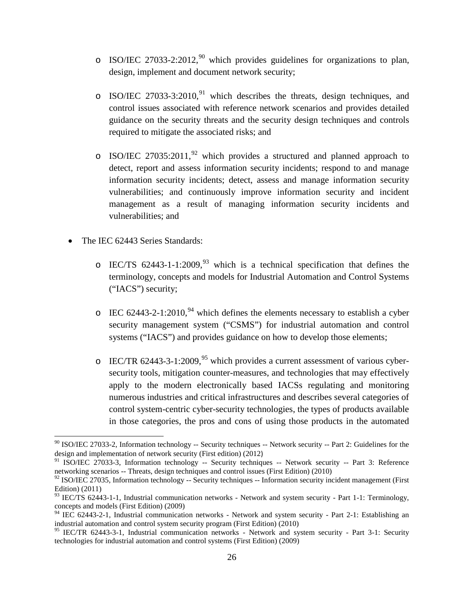- $\circ$  ISO/IEC 27033-2:2012,<sup>[90](#page-25-0)</sup> which provides guidelines for organizations to plan, design, implement and document network security;
- $\circ$  ISO/IEC 27033-3:2010,<sup>[91](#page-25-1)</sup> which describes the threats, design techniques, and control issues associated with reference network scenarios and provides detailed guidance on the security threats and the security design techniques and controls required to mitigate the associated risks; and
- $\circ$  ISO/IEC 27035:2011,<sup>[92](#page-25-2)</sup> which provides a structured and planned approach to detect, report and assess information security incidents; respond to and manage information security incidents; detect, assess and manage information security vulnerabilities; and continuously improve information security and incident management as a result of managing information security incidents and vulnerabilities; and
- The IEC 62443 Series Standards:

- $\circ$  IEC/TS 62443-1-1:2009,<sup>[93](#page-25-3)</sup> which is a technical specification that defines the terminology, concepts and models for Industrial Automation and Control Systems ("IACS") security;
- $\degree$  IEC 62443-2-1:2010,<sup>[94](#page-25-4)</sup> which defines the elements necessary to establish a cyber security management system ("CSMS") for industrial automation and control systems ("IACS") and provides guidance on how to develop those elements;
- $\degree$  IEC/TR 62443-3-1:2009,<sup>[95](#page-25-5)</sup> which provides a current assessment of various cybersecurity tools, mitigation counter-measures, and technologies that may effectively apply to the modern electronically based IACSs regulating and monitoring numerous industries and critical infrastructures and describes several categories of control system-centric cyber-security technologies, the types of products available in those categories, the pros and cons of using those products in the automated

<span id="page-25-0"></span><sup>90</sup> ISO/IEC 27033-2, Information technology -- Security techniques -- Network security -- Part 2: Guidelines for the design and implementation of network security (First edition) (2012)

<span id="page-25-1"></span><sup>&</sup>lt;sup>91</sup> ISO/IEC 27033-3, Information technology -- Security techniques -- Network security -- Part 3: Reference networking scenarios -- Threats, design techniques and control issues (First Edition) (2010)

<span id="page-25-2"></span> $92$  ISO/IEC 27035, Information technology -- Security techniques -- Information security incident management (First Edition) (2011)

<span id="page-25-3"></span><sup>&</sup>lt;sup>93</sup> IEC/TS 62443-1-1, Industrial communication networks - Network and system security - Part 1-1: Terminology, concepts and models (First Edition) (2009)

<span id="page-25-4"></span><sup>&</sup>lt;sup>94</sup> IEC 62443-2-1, Industrial communication networks - Network and system security - Part 2-1: Establishing an industrial automation and control system security program (First Edition) (2010)

<span id="page-25-5"></span><sup>&</sup>lt;sup>95</sup> IEC/TR 62443-3-1, Industrial communication networks - Network and system security - Part 3-1: Security technologies for industrial automation and control systems (First Edition) (2009)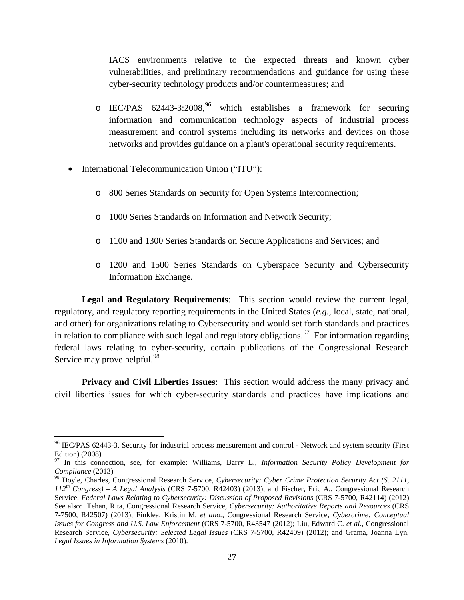IACS environments relative to the expected threats and known cyber vulnerabilities, and preliminary recommendations and guidance for using these cyber-security technology products and/or countermeasures; and

- o IEC/PAS  $62443-3:2008$ , which establishes a framework for securing information and communication technology aspects of industrial process measurement and control systems including its networks and devices on those networks and provides guidance on a plant's operational security requirements.
- International Telecommunication Union ("ITU"):

 $\overline{\phantom{a}}$ 

- o 800 Series Standards on Security for Open Systems Interconnection;
- o 1000 Series Standards on Information and Network Security;
- o 1100 and 1300 Series Standards on Secure Applications and Services; and
- o 1200 and 1500 Series Standards on Cyberspace Security and Cybersecurity Information Exchange.

**Legal and Regulatory Requirements**: This section would review the current legal, regulatory, and regulatory reporting requirements in the United States (*e.g.*, local, state, national, and other) for organizations relating to Cybersecurity and would set forth standards and practices in relation to compliance with such legal and regulatory obligations.<sup>97</sup> For information regarding federal laws relating to cyber-security, certain publications of the Congressional Research Service may prove helpful.<sup>[98](#page-26-2)</sup>

**Privacy and Civil Liberties Issues**: This section would address the many privacy and civil liberties issues for which cyber-security standards and practices have implications and

<span id="page-26-0"></span><sup>&</sup>lt;sup>96</sup> IEC/PAS 62443-3, Security for industrial process measurement and control - Network and system security (First Edition) (2008)

<span id="page-26-1"></span><sup>97</sup> In this connection, see, for example: Williams, Barry L., *Information Security Policy Development for Compliance* (2013)

<span id="page-26-2"></span><sup>98</sup> Doyle, Charles, Congressional Research Service, *Cybersecurity: Cyber Crime Protection Security Act (S. 2111, 112th Congress) – A Legal Analysis* (CRS 7-5700, R42403) (2013); and Fischer, Eric A., Congressional Research Service, *Federal Laws Relating to Cybersecurity: Discussion of Proposed Revisions* (CRS 7-5700, R42114) (2012) See also: Tehan, Rita, Congressional Research Service, *Cybersecurity: Authoritative Reports and Resources* (CRS 7-7500, R42507) (2013); Finklea, Kristin M*. et ano.,* Congressional Research Service, *Cybercrime: Conceptual Issues for Congress and U.S. Law Enforcement* (CRS 7-5700, R43547 (2012); Liu, Edward C. *et al*., Congressional Research Service, *Cybersecurity: Selected Legal Issues* (CRS 7-5700, R42409) (2012); and Grama, Joanna Lyn, *Legal Issues in Information Systems* (2010).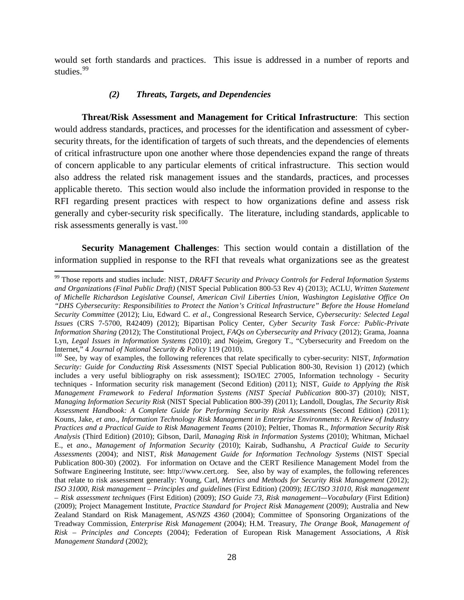would set forth standards and practices. This issue is addressed in a number of reports and studies.<sup>[99](#page-27-0)</sup>

### *(2) Threats, Targets, and Dependencies*

l

**Threat/Risk Assessment and Management for Critical Infrastructure**: This section would address standards, practices, and processes for the identification and assessment of cybersecurity threats, for the identification of targets of such threats, and the dependencies of elements of critical infrastructure upon one another where those dependencies expand the range of threats of concern applicable to any particular elements of critical infrastructure. This section would also address the related risk management issues and the standards, practices, and processes applicable thereto. This section would also include the information provided in response to the RFI regarding present practices with respect to how organizations define and assess risk generally and cyber-security risk specifically. The literature, including standards, applicable to risk assessments generally is vast.<sup>100</sup>

**Security Management Challenges**: This section would contain a distillation of the information supplied in response to the RFI that reveals what organizations see as the greatest

<span id="page-27-0"></span><sup>99</sup> Those reports and studies include: NIST, *DRAFT Security and Privacy Controls for Federal Information Systems and Organizations (Final Public Draft)* (NIST Special Publication 800-53 Rev 4) (2013); ACLU, *Written Statement of Michelle Richardson Legislative Counsel, American Civil Liberties Union, Washington Legislative Office On "DHS Cybersecurity: Responsibilities to Protect the Nation's Critical Infrastructure" Before the House Homeland Security Committee* (2012); Liu, Edward C. *et al*., Congressional Research Service, *Cybersecurity: Selected Legal Issues* (CRS 7-5700, R42409) (2012); Bipartisan Policy Center, *Cyber Security Task Force: Public-Private Information Sharing* (2012); The Constitutional Project, *FAQs on Cybersecurity and Privacy* (2012); Grama, Joanna Lyn, *Legal Issues in Information Systems* (2010); and Nojeim, Gregory T., "Cybersecurity and Freedom on the

<span id="page-27-1"></span><sup>&</sup>lt;sup>100</sup> See, by way of examples, the following references that relate specifically to cyber-security: NIST, *Information Security: Guide for Conducting Risk Assessments* (NIST Special Publication 800-30, Revision 1) (2012) (which includes a very useful bibliography on risk assessment); ISO/IEC 27005, Information technology - Security techniques - Information security risk management (Second Edition) (2011); NIST, *Guide to Applying the Risk Management Framework to Federal Information Systems (NIST Special Publication* 800-37) (2010); NIST, *Managing Information Security Risk* (NIST Special Publication 800-39) (2011); Landoll, Douglas, *The Security Risk Assessment Handbook: A Complete Guide for Performing Security Risk Assessments* (Second Edition) (2011); Kouns, Jake, *et ano*., *Information Technology Risk Management in Enterprise Environments: A Review of Industry Practices and a Practical Guide to Risk Management Teams* (2010); Peltier, Thomas R., *Information Security Risk Analysis* (Third Edition) (2010); Gibson, Daril, *Managing Risk in Information Systems* (2010); Whitman, Michael E., et *ano*., *Management of Information Security* (2010); Kairab, Sudhanshu, *A Practical Guide to Security Assessments* (2004); and NIST, *Risk Management Guide for Information Technology Systems* (NIST Special Publication 800-30) (2002). For information on Octave and the CERT Resilience Management Model from the Software Engineering Institute, see: http://www.cert.org. See, also by way of examples, the following references that relate to risk assessment generally: Young, Carl, *Metrics and Methods for Security Risk Management* (2012); *ISO 31000, Risk management – Principles and guideline*s (First Edition) (2009); *IEC/ISO 31010, Risk management – Risk assessment techniques* (First Edition) (2009); *ISO Guide 73, Risk management—Vocabulary* (First Edition) (2009); Project Management Institute, *Practice Standard for Project Risk Management* (2009); Australia and New Zealand Standard on Risk Management, *AS/NZS 4360* (2004); Committee of Sponsoring Organizations of the Treadway Commission, *Enterprise Risk Management* (2004); H.M. Treasury, *The Orange Book, Management of Risk – Principles and Concepts* (2004); Federation of European Risk Management Associations, *A Risk Management Standard* (2002);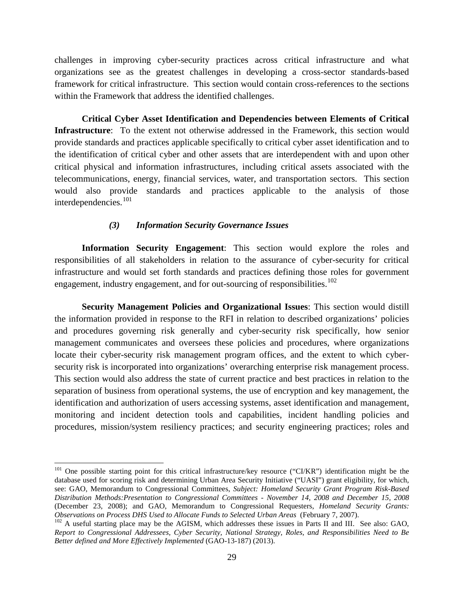challenges in improving cyber-security practices across critical infrastructure and what organizations see as the greatest challenges in developing a cross-sector standards-based framework for critical infrastructure. This section would contain cross-references to the sections within the Framework that address the identified challenges.

**Critical Cyber Asset Identification and Dependencies between Elements of Critical Infrastructure**: To the extent not otherwise addressed in the Framework, this section would provide standards and practices applicable specifically to critical cyber asset identification and to the identification of critical cyber and other assets that are interdependent with and upon other critical physical and information infrastructures, including critical assets associated with the telecommunications, energy, financial services, water, and transportation sectors. This section would also provide standards and practices applicable to the analysis of those interdependencies.[101](#page-28-0)

#### *(3) Information Security Governance Issues*

**Information Security Engagement**: This section would explore the roles and responsibilities of all stakeholders in relation to the assurance of cyber-security for critical infrastructure and would set forth standards and practices defining those roles for government engagement, industry engagement, and for out-sourcing of responsibilities.<sup>[102](#page-28-1)</sup>

**Security Management Policies and Organizational Issues**: This section would distill the information provided in response to the RFI in relation to described organizations' policies and procedures governing risk generally and cyber-security risk specifically, how senior management communicates and oversees these policies and procedures, where organizations locate their cyber-security risk management program offices, and the extent to which cybersecurity risk is incorporated into organizations' overarching enterprise risk management process. This section would also address the state of current practice and best practices in relation to the separation of business from operational systems, the use of encryption and key management, the identification and authorization of users accessing systems, asset identification and management, monitoring and incident detection tools and capabilities, incident handling policies and procedures, mission/system resiliency practices; and security engineering practices; roles and

<span id="page-28-0"></span><sup>&</sup>lt;sup>101</sup> One possible starting point for this critical infrastructure/key resource ("CI/KR") identification might be the database used for scoring risk and determining Urban Area Security Initiative ("UASI") grant eligibility, for which, see: GAO, Memorandum to Congressional Committees, *Subject: Homeland Security Grant Program Risk-Based Distribution Methods:Presentation to Congressional Committees - November 14, 2008 and December 15, 2008* (December 23, 2008); and GAO, Memorandum to Congressional Requesters, *Homeland Security Grants:* 

<span id="page-28-1"></span><sup>&</sup>lt;sup>102</sup> A useful starting place may be the AGISM, which addresses these issues in Parts II and III. See also: GAO, *Report to Congressional Addressees, Cyber Security, National Strategy, Roles, and Responsibilities Need to Be Better defined and More Effectively Implemented* (GAO-13-187) (2013).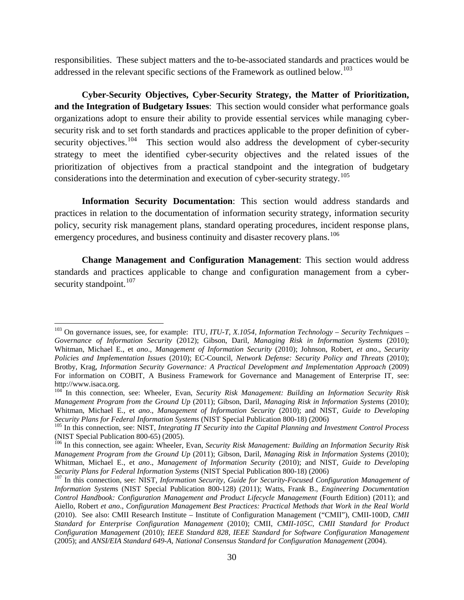responsibilities. These subject matters and the to-be-associated standards and practices would be addressed in the relevant specific sections of the Framework as outlined below.<sup>[103](#page-29-0)</sup>

**Cyber-Security Objectives, Cyber-Security Strategy, the Matter of Prioritization, and the Integration of Budgetary Issues**: This section would consider what performance goals organizations adopt to ensure their ability to provide essential services while managing cybersecurity risk and to set forth standards and practices applicable to the proper definition of cybersecurity objectives.<sup>104</sup> This section would also address the development of cyber-security strategy to meet the identified cyber-security objectives and the related issues of the prioritization of objectives from a practical standpoint and the integration of budgetary considerations into the determination and execution of cyber-security strategy.<sup>105</sup>

**Information Security Documentation**: This section would address standards and practices in relation to the documentation of information security strategy, information security policy, security risk management plans, standard operating procedures, incident response plans, emergency procedures, and business continuity and disaster recovery plans.<sup>[106](#page-29-3)</sup>

**Change Management and Configuration Management**: This section would address standards and practices applicable to change and configuration management from a cyber-security standpoint.<sup>[107](#page-29-4)</sup>

<span id="page-29-0"></span><sup>103</sup> On governance issues, see, for example: ITU, *ITU-T, X.1054, Information Technology – Security Techniques – Governance of Information Security* (2012); Gibson, Daril, *Managing Risk in Information Systems* (2010); Whitman, Michael E., et *ano*., *Management of Information Security* (2010); Johnson, Robert, *et ano*., *Security Policies and Implementation Issues* (2010); EC-Council, *Network Defense: Security Policy and Threats* (2010); Brotby, Krag, *Information Security Governance: A Practical Development and Implementation Approach* (2009) For information on COBIT, A Business Framework for Governance and Management of Enterprise IT, see: http://www.isaca.org.

<span id="page-29-1"></span><sup>104</sup> In this connection, see: Wheeler, Evan, *Security Risk Management: Building an Information Security Risk Management Program from the Ground Up* (2011); Gibson, Daril, *Managing Risk in Information Systems* (2010); Whitman, Michael E., et *ano*., *Management of Information Security* (2010); and NIST, *Guide to Developing Security Plans for Federal Information Systems* (NIST Special Publication 800-18) (2006)<br><sup>105</sup> In this connection, see: NIST, *Integrating IT Security into the Capital Planning and Investment Control Process* 

<span id="page-29-2"></span><sup>(</sup>NIST Special Publication 800-65) (2005).<br><sup>106</sup> In this connection, see again: Wheeler, Evan, *Security Risk Management: Building an Information Security Risk* 

<span id="page-29-3"></span>*Management Program from the Ground Up* (2011); Gibson, Daril, *Managing Risk in Information Systems* (2010); Whitman, Michael E., et *ano*., *Management of Information Security* (2010); and NIST, *Guide to Developing* 

<span id="page-29-4"></span><sup>&</sup>lt;sup>107</sup> In this connection, see: NIST, *Information Security, Guide for Security-Focused Configuration Management of Information System*s (NIST Special Publication 800-128) (2011); Watts, Frank B., *Engineering Documentation Control Handbook: Configuration Management and Product Lifecycle Management* (Fourth Edition) (2011); and Aiello, Robert *et ano*., *Configuration Management Best Practices: Practical Methods that Work in the Real World* (2010). See also: CMII Research Institute – Institute of Configuration Management ("CMII"), CMII-100D, *CMII Standard for Enterprise Configuration Management* (2010); CMII, *CMII-105C, CMII Standard for Product Configuration Management* (2010); *IEEE Standard 828, IEEE Standard for Software Configuration Management* (2005); and *ANSI/EIA Standard 649-A, National Consensus Standard for Configuration Management* (2004).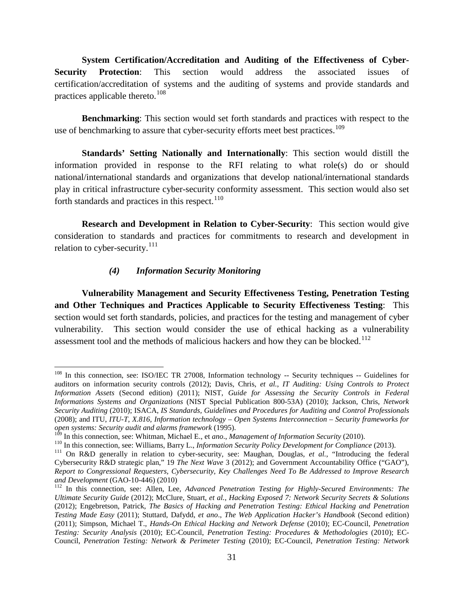**System Certification/Accreditation and Auditing of the Effectiveness of Cyber-Security Protection**: This section would address the associated issues of certification/accreditation of systems and the auditing of systems and provide standards and practices applicable thereto.<sup>[108](#page-30-0)</sup>

**Benchmarking**: This section would set forth standards and practices with respect to the use of benchmarking to assure that cyber-security efforts meet best practices.<sup>[109](#page-30-1)</sup>

**Standards' Setting Nationally and Internationally**: This section would distill the information provided in response to the RFI relating to what role(s) do or should national/international standards and organizations that develop national/international standards play in critical infrastructure cyber-security conformity assessment. This section would also set forth standards and practices in this respect. $110$ 

**Research and Development in Relation to Cyber-Security**: This section would give consideration to standards and practices for commitments to research and development in relation to cyber-security.<sup>[111](#page-30-3)</sup>

## *(4) Information Security Monitoring*

 $\overline{\phantom{a}}$ 

**Vulnerability Management and Security Effectiveness Testing, Penetration Testing and Other Techniques and Practices Applicable to Security Effectiveness Testing**: This section would set forth standards, policies, and practices for the testing and management of cyber vulnerability. This section would consider the use of ethical hacking as a vulnerability assessment tool and the methods of malicious hackers and how they can be blocked.<sup>[112](#page-30-4)</sup>

<span id="page-30-0"></span><sup>&</sup>lt;sup>108</sup> In this connection, see: ISO/IEC TR 27008, Information technology -- Security techniques -- Guidelines for auditors on information security controls (2012); Davis, Chris, *et al.*, *IT Auditing: Using Controls to Protect Information Assets* (Second edition) (2011); NIST, *Guide for Assessing the Security Controls in Federal Informations Systems and Organizations* (NIST Special Publication 800-53A) (2010); Jackson, Chris, *Network Security Auditing* (2010); ISACA, *IS Standards, Guidelines and Procedures for Auditing and Control Professionals* (2008); and ITU, *ITU-T, X.816, Information technology – Open Systems Interconnection – Security frameworks for open systems: Security audit and alarms framework* (1995).

<span id="page-30-2"></span><span id="page-30-1"></span><sup>&</sup>lt;sup>110</sup> In this connection, see: Williams, Barry L., *Information Security Policy Development for Compliance* (2013).<br><sup>111</sup> On R&D generally in relation to cyber-security, see: Maughan, Douglas, *et al.*, "Introducing the f

<span id="page-30-3"></span>Cybersecurity R&D strategic plan," 19 *The Next Wave* 3 (2012); and Government Accountability Office ("GAO"), *Report to Congressional Requesters, Cybersecurity, Key Challenges Need To Be Addressed to Improve Research* 

<span id="page-30-4"></span><sup>&</sup>lt;sup>112</sup> In this connection, see: Allen, Lee, *Advanced Penetration Testing for Highly-Secured Environments: The Ultimate Security Guide* (2012); McClure, Stuart, *et al.*, *Hacking Exposed 7: Network Security Secrets & Solutions* (2012); Engebretson, Patrick, *The Basics of Hacking and Penetration Testing: Ethical Hacking and Penetration Testing Made Easy* (2011); Stuttard, Dafydd, *et ano*., *The Web Application Hacker's Handbook* (Second edition) (2011); Simpson, Michael T., *Hands-On Ethical Hacking and Network Defense* (2010); EC-Council, *Penetration Testing: Security Analysis* (2010); EC-Council, *Penetration Testing: Procedures & Methodologies* (2010); EC-Council, *Penetration Testing: Network & Perimeter Testing* (2010); EC-Council, *Penetration Testing: Network*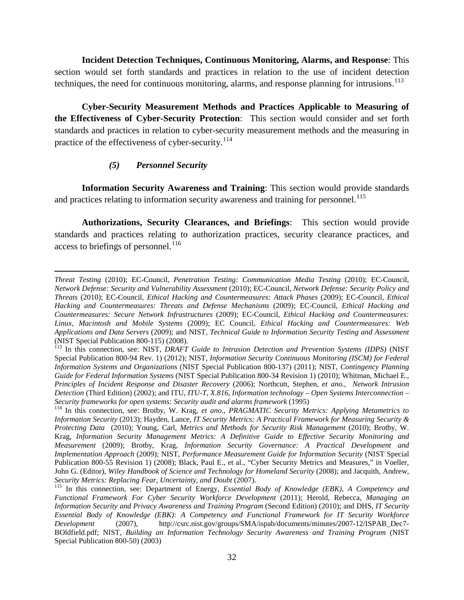**Incident Detection Techniques, Continuous Monitoring, Alarms, and Response**: This section would set forth standards and practices in relation to the use of incident detection techniques, the need for continuous monitoring, alarms, and response planning for intrusions.<sup>[113](#page-31-0)</sup>

**Cyber-Security Measurement Methods and Practices Applicable to Measuring of the Effectiveness of Cyber-Security Protection**: This section would consider and set forth standards and practices in relation to cyber-security measurement methods and the measuring in practice of the effectiveness of cyber-security.<sup>[114](#page-31-1)</sup>

#### *(5) Personnel Security*

l

**Information Security Awareness and Training**: This section would provide standards and practices relating to information security awareness and training for personnel.<sup>[115](#page-31-2)</sup>

**Authorizations, Security Clearances, and Briefings**: This section would provide standards and practices relating to authorization practices, security clearance practices, and access to briefings of personnel.<sup>[116](#page-31-3)</sup>

*Threat Testing* (2010); EC-Council, *Penetration Testing: Communication Media Testing* (2010); EC-Council, *Network Defense: Security and Vulnerability Assessment* (2010); EC-Council, *Network Defense: Security Policy and Threats* (2010); EC-Council, *Ethical Hacking and Countermeasures: Attack Phases* (2009); EC-Council, *Ethical Hacking and Countermeasures: Threats and Defense Mechanisms* (2009); EC-Council, *Ethical Hacking and Countermeasures: Secure Network Infrastructures* (2009); EC-Council, *Ethical Hacking and Countermeasures: Linux, Macintosh and Mobile Systems* (2009); EC Council, *Ethical Hacking and Countermeasures: Web Applications and Data Servers* (2009); and NIST, *Technical Guide to Information Security Testing and Assessment* (NIST Special Publication 800-115) (2008).<br><sup>113</sup> In this connection, see: NIST, *DRAFT Guide to Intrusion Detection and Prevention Systems (IDPS)* (NIST

<span id="page-31-0"></span>Special Publication 800-94 Rev. 1) (2012); NIST, *Information Security Continuous Monitoring (ISCM) for Federal Information Systems and Organization*s (NIST Special Publication 800-137) (2011); NIST, *Contingency Planning Guide for Federal Information Systems* (NIST Special Publication 800-34 Revision 1) (2010); Whitman, Michael E., *Principles of Incident Response and Disaster Recovery* (2006); Northcutt, Stephen, *et ano.*, *Network Intrusion Detection* (Third Edition) (2002); and ITU, *ITU-T, X.816, Information technology – Open Systems Interconnection –*

<span id="page-31-3"></span><span id="page-31-1"></span><sup>&</sup>lt;sup>114</sup> In this connection, see: Brotby, W. Krag, *et ano., PRAGMATIC Security Metrics: Applying Metametrics to Information Security* (2013); Hayden, Lance, *IT Security Metrics: A Practical Framework for Measuring Security & Protecting Data* (2010); Young, Carl, *Metrics and Methods for Security Risk Management* (2010); Brotby, W. Krag, *Information Security Management Metrics: A Definitive Guide to Effective Security Monitoring and Measurement* (2009); Brotby, Krag, *Information Security Governance: A Practical Development and Implementation Approach* (2009); NIST, *Performance Measurement Guide for Information Security* (NIST Special Publication 800-55 Revision 1) (2008); Black, Paul E., et al., "Cyber Security Metrics and Measures," in Voeller, John G. (Editor), *Wiley Handbook of Science and Technology for Homeland Security* (2008); and Jacquith, Andrew, Security *Metrics: Replacing Fear, Uncertainty, and Doubt* (2007).

<span id="page-31-2"></span><sup>&</sup>lt;sup>115</sup> In this connection, see: Department of Energy, *Essential Body of Knowledge (EBK), A Competency and Functional Framework For Cyber Security Workforce Development* (2011); Herold, Rebecca, *Managing an Information Security and Privacy Awareness and Training Program* (Second Edition) (2010); and DHS, *IT Security Essential Body of Knowledge (EBK): A Competency and Functional Framework for IT Security Workforce Development* (2007), http://csrc.nist.gov/groups/SMA/ispab/documents/minutes/2007-12/ISPAB\_Dec7- BOldfield.pdf; NIST, *Building an Information Technology Security Awareness and Training Program* (NIST Special Publication 800-50) (2003)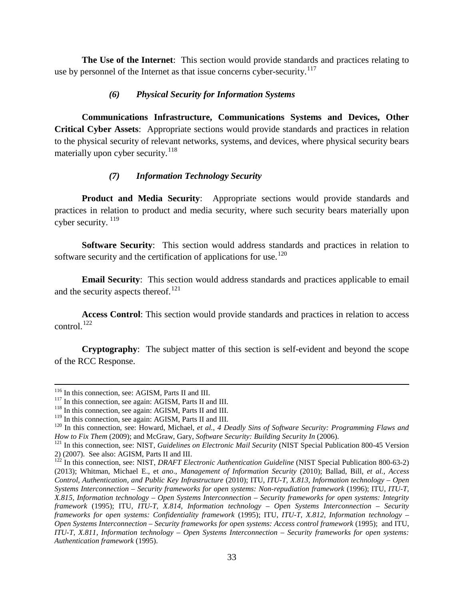**The Use of the Internet**: This section would provide standards and practices relating to use by personnel of the Internet as that issue concerns cyber-security.<sup>[117](#page-32-0)</sup>

### *(6) Physical Security for Information Systems*

**Communications Infrastructure, Communications Systems and Devices, Other Critical Cyber Assets**: Appropriate sections would provide standards and practices in relation to the physical security of relevant networks, systems, and devices, where physical security bears materially upon cyber security.  $118$ 

### *(7) Information Technology Security*

**Product and Media Security**: Appropriate sections would provide standards and practices in relation to product and media security, where such security bears materially upon cyber security.<sup>[119](#page-32-2)</sup>

**Software Security**: This section would address standards and practices in relation to software security and the certification of applications for use.<sup>[120](#page-32-3)</sup>

**Email Security**: This section would address standards and practices applicable to email and the security aspects thereof.<sup>[121](#page-32-4)</sup>

**Access Control**: This section would provide standards and practices in relation to access control.<sup>[122](#page-32-5)</sup>

**Cryptography**: The subject matter of this section is self-evident and beyond the scope of the RCC Response.

<sup>&</sup>lt;sup>116</sup> In this connection, see: AGISM, Parts II and III.

<span id="page-32-0"></span><sup>&</sup>lt;sup>117</sup> In this connection, see again: AGISM, Parts II and III.  $^{118}$  In this connection, see again: AGISM, Parts II and III.  $^{119}$  In this connection, see again: AGISM, Parts II and III.

<span id="page-32-1"></span>

<span id="page-32-3"></span><span id="page-32-2"></span><sup>&</sup>lt;sup>120</sup> In this connection, see: Howard, Michael, *et al.*, *4 Deadly Sins of Software Security: Programming Flaws and* How to Fix Them (2009); and McGraw, Gary, Software Security: Building Security In (2006).<br><sup>121</sup> In this connection, see: NIST, Guidelines on Electronic Mail Security (NIST Special Publication 800-45 Version

<span id="page-32-4"></span><sup>2) (2007).</sup> See also: AGISM, Parts II and III.

<span id="page-32-5"></span><sup>&</sup>lt;sup>122</sup> In this connection, see: NIST, *DRAFT Electronic Authentication Guideline* (NIST Special Publication 800-63-2) (2013); Whitman, Michael E., et *ano*., *Management of Information Security* (2010); Ballad, Bill, *et al.*, *Access Control, Authentication, and Public Key Infrastructure* (2010); ITU, *ITU-T, X.813, Information technology – Open Systems Interconnection – Security frameworks for open systems: Non-repudiation framework* (1996); ITU, *ITU-T, X.815, Information technology – Open Systems Interconnection – Security frameworks for open systems: Integrity framework* (1995); ITU, *ITU-T, X.814, Information technology – Open Systems Interconnection – Security frameworks for open systems: Confidentiality framework* (1995); ITU, *ITU-T, X.812, Information technology – Open Systems Interconnection – Security frameworks for open systems: Access control framework* (1995); and ITU, *ITU-T, X.811, Information technology – Open Systems Interconnection – Security frameworks for open systems: Authentication framework* (1995).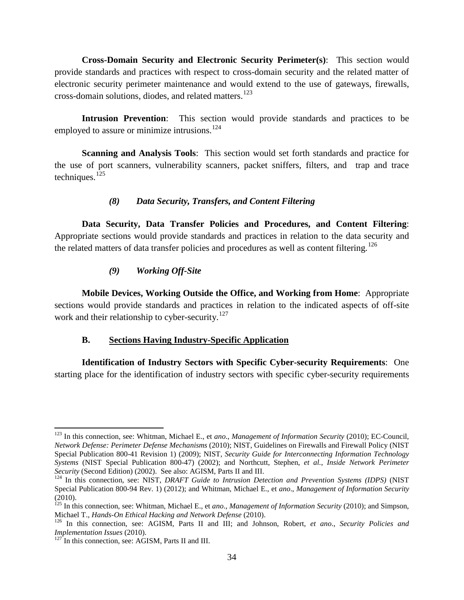**Cross-Domain Security and Electronic Security Perimeter(s)**: This section would provide standards and practices with respect to cross-domain security and the related matter of electronic security perimeter maintenance and would extend to the use of gateways, firewalls, cross-domain solutions, diodes, and related matters.<sup>[123](#page-33-0)</sup>

**Intrusion Prevention**: This section would provide standards and practices to be employed to assure or minimize intrusions.<sup>[124](#page-33-1)</sup>

**Scanning and Analysis Tools**: This section would set forth standards and practice for the use of port scanners, vulnerability scanners, packet sniffers, filters, and trap and trace techniques. $125$ 

### *(8) Data Security, Transfers, and Content Filtering*

**Data Security, Data Transfer Policies and Procedures, and Content Filtering**: Appropriate sections would provide standards and practices in relation to the data security and the related matters of data transfer policies and procedures as well as content filtering.<sup>[126](#page-33-3)</sup>

### *(9) Working Off-Site*

**Mobile Devices, Working Outside the Office, and Working from Home**: Appropriate sections would provide standards and practices in relation to the indicated aspects of off-site work and their relationship to cyber-security.<sup>[127](#page-33-4)</sup>

## **B. Sections Having Industry-Specific Application**

**Identification of Industry Sectors with Specific Cyber-security Requirements**: One starting place for the identification of industry sectors with specific cyber-security requirements

<span id="page-33-0"></span><sup>123</sup> In this connection, see: Whitman, Michael E., et *ano*., *Management of Information Security* (2010); EC-Council, *Network Defense: Perimeter Defense Mechanisms* (2010); NIST, Guidelines on Firewalls and Firewall Policy (NIST Special Publication 800-41 Revision 1) (2009); NIST, *Security Guide for Interconnecting Information Technology Systems* (NIST Special Publication 800-47) (2002); and Northcutt, Stephen, *et al.*, *Inside Network Perimeter*  l

<span id="page-33-1"></span><sup>&</sup>lt;sup>124</sup> In this connection, see: NIST, *DRAFT Guide to Intrusion Detection and Prevention Systems (IDPS)* (NIST Special Publication 800-94 Rev. 1) (2012); and Whitman, Michael E., et *ano*., *Management of Information Security*

<span id="page-33-2"></span><sup>(2010).</sup> <sup>125</sup> In this connection, see: Whitman, Michael E., et *ano*., *Management of Information Security* (2010); and Simpson,

<span id="page-33-3"></span><sup>&</sup>lt;sup>126</sup> In this connection, see: AGISM, Parts II and III; and Johnson, Robert, *et ano.*, *Security Policies and Implementation Issues* (2010).

<span id="page-33-4"></span><sup>&</sup>lt;sup>127</sup> In this connection, see: AGISM, Parts II and III.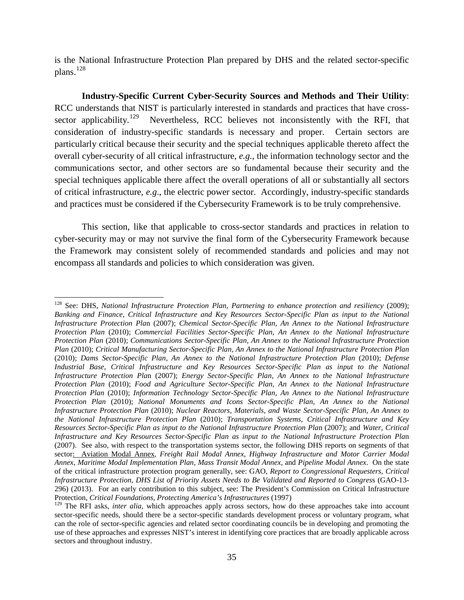is the National Infrastructure Protection Plan prepared by DHS and the related sector-specific plans.<sup>[128](#page-34-0)</sup>

**Industry-Specific Current Cyber-Security Sources and Methods and Their Utility**: RCC understands that NIST is particularly interested in standards and practices that have cross-sector applicability.<sup>[129](#page-34-1)</sup> Nevertheless, RCC believes not inconsistently with the RFI, that consideration of industry-specific standards is necessary and proper. Certain sectors are particularly critical because their security and the special techniques applicable thereto affect the overall cyber-security of all critical infrastructure, *e.g.*, the information technology sector and the communications sector, and other sectors are so fundamental because their security and the special techniques applicable there affect the overall operations of all or substantially all sectors of critical infrastructure, *e.g*., the electric power sector. Accordingly, industry-specific standards and practices must be considered if the Cybersecurity Framework is to be truly comprehensive.

This section, like that applicable to cross-sector standards and practices in relation to cyber-security may or may not survive the final form of the Cybersecurity Framework because the Framework may consistent solely of recommended standards and policies and may not encompass all standards and policies to which consideration was given.

<span id="page-34-0"></span><sup>128</sup> See: DHS, *National Infrastructure Protection Plan, Partnering to enhance protection and resiliency* (2009); *Banking and Finance, Critical Infrastructure and Key Resources Sector-Specific Plan as input to the National Infrastructure Protection Pla*n (2007); *Chemical Sector-Specific Plan, An Annex to the National Infrastructure Protection Plan* (2010); *Commercial Facilities Sector-Specific Plan, An Annex to the National Infrastructure Protection Plan* (2010); *Communications Sector-Specific Plan, An Annex to the National Infrastructure Protection Plan* (2010); *Critical Manufacturing Sector-Specific Plan, An Annex to the National Infrastructure Protection Plan* (2010); *Dams Sector-Specific Plan, An Annex to the National Infrastructure Protection Plan* (2010); *Defense Industrial Base, Critical Infrastructure and Key Resources Sector-Specific Plan as input to the National Infrastructure Protection Pla*n (2007); *Energy Sector-Specific Plan, An Annex to the National Infrastructure Protection Plan* (2010); *Food and Agriculture Sector-Specific Plan, An Annex to the National Infrastructure Protection Plan* (2010); *Information Technology Sector-Specific Plan, An Annex to the National Infrastructure Protection Plan* (2010); *National Monuments and Icons Sector-Specific Plan, An Annex to the National Infrastructure Protection Plan* (2010); *Nuclear Reactors, Materials, and Waste Sector-Specific Plan, An Annex to the National Infrastructure Protection Plan* (2010); *Transportation Systems, Critical Infrastructure and Key Resources Sector-Specific Plan as input to the National Infrastructure Protection Pla*n (2007); and *Water, Critical Infrastructure and Key Resources Sector-Specific Plan as input to the National Infrastructure Protection Pla*n (2007). See also, with respect to the transportation systems sector, the following DHS reports on segments of that sector: Aviation Modal Annex, *Freight Rail Modal Annex*, *Highway Infrastructure and Motor Carrier Modal Annex*, *Maritime Modal Implementation Plan*, *Mass Transit Modal Annex*, and *Pipeline Modal Annex*. On the state of the critical infrastructure protection program generally, see: GAO, *Report to Congressional Requesters, Critical Infrastructure Protection, DHS List of Priority Assets Needs to Be Validated and Reported to Congres*s (GAO-13- 296) (2013). For an early contribution to this subject, see: The President's Commission on Critical Infrastructure Protection, *Critical Foundations, Protecting America's Infrastructures* (1997)

<span id="page-34-1"></span><sup>&</sup>lt;sup>129</sup> The RFI asks, *inter alia*, which approaches apply across sectors, how do these approaches take into account sector-specific needs, should there be a sector-specific standards development process or voluntary program, what can the role of sector-specific agencies and related sector coordinating councils be in developing and promoting the use of these approaches and expresses NIST's interest in identifying core practices that are broadly applicable across sectors and throughout industry.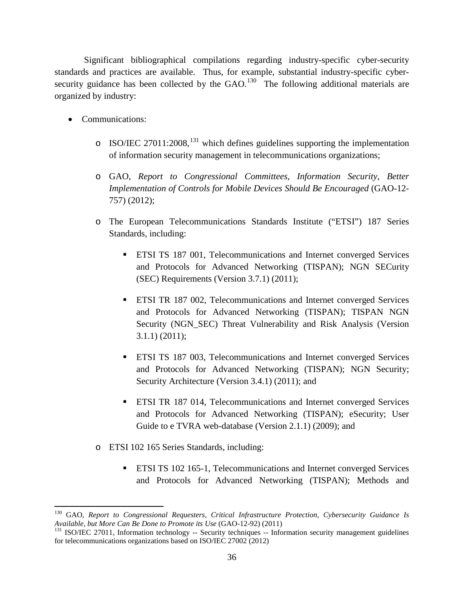Significant bibliographical compilations regarding industry-specific cyber-security standards and practices are available. Thus, for example, substantial industry-specific cybersecurity guidance has been collected by the  $GAO$ .<sup>130</sup> The following additional materials are organized by industry:

• Communications:

- $\circ$  ISO/IEC 27011:2008,<sup>[131](#page-35-1)</sup> which defines guidelines supporting the implementation of information security management in telecommunications organizations;
- o GAO, *Report to Congressional Committees, Information Security, Better Implementation of Controls for Mobile Devices Should Be Encouraged* (GAO-12- 757) (2012);
- o The European Telecommunications Standards Institute ("ETSI") 187 Series Standards, including:
	- ETSI TS 187 001, Telecommunications and Internet converged Services and Protocols for Advanced Networking (TISPAN); NGN SECurity (SEC) Requirements (Version 3.7.1) (2011);
	- **ETSI TR 187 002, Telecommunications and Internet converged Services** and Protocols for Advanced Networking (TISPAN); TISPAN NGN Security (NGN\_SEC) Threat Vulnerability and Risk Analysis (Version 3.1.1) (2011);
	- ETSI TS 187 003, Telecommunications and Internet converged Services and Protocols for Advanced Networking (TISPAN); NGN Security; Security Architecture (Version 3.4.1) (2011); and
	- ETSI TR 187 014, Telecommunications and Internet converged Services and Protocols for Advanced Networking (TISPAN); eSecurity; User Guide to e TVRA web-database (Version 2.1.1) (2009); and
- o ETSI 102 165 Series Standards, including:
	- ETSI TS 102 165-1, Telecommunications and Internet converged Services and Protocols for Advanced Networking (TISPAN); Methods and

<span id="page-35-0"></span><sup>130</sup> GAO, *Report to Congressional Requesters, Critical Infrastructure Protection, Cybersecurity Guidance Is Available, but More Can Be Done to Promote its Use* (GAO-12-92) (2011)<br><sup>131</sup> ISO/IEC 27011, Information technology -- Security techniques -- Information security management guidelines

<span id="page-35-1"></span>for telecommunications organizations based on ISO/IEC 27002 (2012)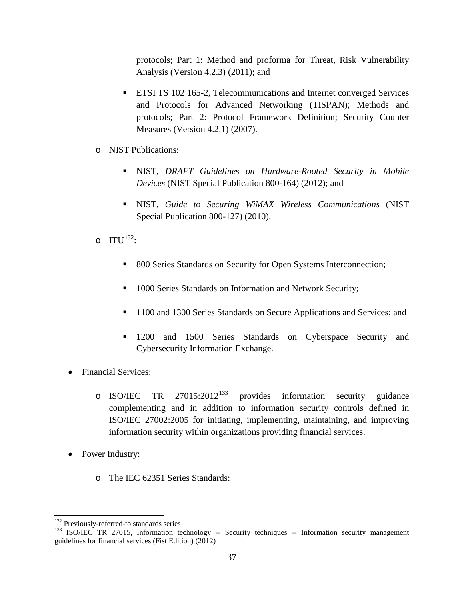protocols; Part 1: Method and proforma for Threat, Risk Vulnerability Analysis (Version 4.2.3) (2011); and

- ETSI TS 102 165-2, Telecommunications and Internet converged Services and Protocols for Advanced Networking (TISPAN); Methods and protocols; Part 2: Protocol Framework Definition; Security Counter Measures (Version 4.2.1) (2007).
- o NIST Publications:
	- NIST, *DRAFT Guidelines on Hardware-Rooted Security in Mobile Devices* (NIST Special Publication 800-164) (2012); and
	- NIST, *Guide to Securing WiMAX Wireless Communications* (NIST Special Publication 800-127) (2010).
- $\Omega$  ITU<sup>132</sup>:
	- 800 Series Standards on Security for Open Systems Interconnection;
	- **1000 Series Standards on Information and Network Security;**
	- <sup>1100</sup> and 1300 Series Standards on Secure Applications and Services; and
	- **1200** and 1500 Series Standards on Cyberspace Security and Cybersecurity Information Exchange.
- Financial Services:
	- o ISO/IEC TR  $27015:2012^{133}$  $27015:2012^{133}$  $27015:2012^{133}$  provides information security guidance complementing and in addition to information security controls defined in ISO/IEC 27002:2005 for initiating, implementing, maintaining, and improving information security within organizations providing financial services.
- Power Industry:
	- o The IEC 62351 Series Standards:

<sup>&</sup>lt;sup>132</sup> Previously-referred-to standards series

<span id="page-36-1"></span><span id="page-36-0"></span><sup>&</sup>lt;sup>133</sup> ISO/IEC TR 27015, Information technology -- Security techniques -- Information security management guidelines for financial services (Fist Edition) (2012)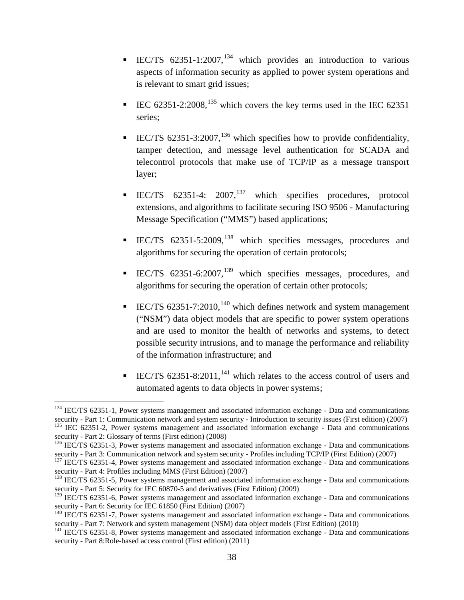- IEC/TS  $62351-1:2007$ , <sup>[134](#page-37-0)</sup> which provides an introduction to various aspects of information security as applied to power system operations and is relevant to smart grid issues;
- IEC  $62351-2:2008$ ,  $^{135}$  $^{135}$  $^{135}$  which covers the key terms used in the IEC  $62351$ series;
- IEC/TS  $62351-3:2007$ ,  $^{136}$  $^{136}$  $^{136}$  which specifies how to provide confidentiality, tamper detection, and message level authentication for SCADA and telecontrol protocols that make use of TCP/IP as a message transport layer;
- IEC/TS  $62351-4$ :  $2007$ ,  $137$  which specifies procedures, protocol extensions, and algorithms to facilitate securing ISO 9506 - Manufacturing Message Specification ("MMS") based applications;
- IEC/TS 62351-5:2009,[138](#page-37-4) which specifies messages, procedures and algorithms for securing the operation of certain protocols;
- **IEC/TS** 62351-6:2007,<sup>[139](#page-37-5)</sup> which specifies messages, procedures, and algorithms for securing the operation of certain other protocols;
- IEC/TS  $62351-7:2010$ ,  $^{140}$  $^{140}$  $^{140}$  which defines network and system management ("NSM") data object models that are specific to power system operations and are used to monitor the health of networks and systems, to detect possible security intrusions, and to manage the performance and reliability of the information infrastructure; and
- IEC/TS  $62351-8:2011$ ,  $^{141}$  $^{141}$  $^{141}$  which relates to the access control of users and automated agents to data objects in power systems;

<span id="page-37-0"></span><sup>&</sup>lt;sup>134</sup> IEC/TS 62351-1, Power systems management and associated information exchange - Data and communications security - Part 1: Communication network and system security - Introduction to security issues (First edition) (2007) <sup>135</sup> IEC 62351-2, Power systems management and associated information exchange - Data and communication

<span id="page-37-1"></span>security - Part 2: Glossary of terms (First edition) (2008)<br><sup>136</sup> IEC/TS 62351-3, Power systems management and associated information exchange - Data and communications

<span id="page-37-3"></span><span id="page-37-2"></span>security - Part 3: Communication network and system security - Profiles including TCP/IP (First Edition) (2007)<br><sup>137</sup> IEC/TS 62351-4, Power systems management and associated information exchange - Data and communications<br>s

<span id="page-37-4"></span> $\frac{138}{138}$  IEC/TS 62351-5, Power systems management and associated information exchange - Data and communications security - Part 5: Security for IEC 60870-5 and derivatives (First Edition) (2009)

<span id="page-37-5"></span><sup>&</sup>lt;sup>139</sup> IEC/TS 62351-6, Power systems management and associated information exchange - Data and communications security - Part 6: Security for IEC 61850 (First Edition) (2007)

<span id="page-37-6"></span> $140$  IEC/TS 62351-7, Power systems management and associated information exchange - Data and communications security - Part 7: Network and system management (NSM) data object models (First Edition) (2010)<br><sup>141</sup> IEC/TS 62351-8, Power systems management and associated information exchange - Data and communications

<span id="page-37-7"></span>security - Part 8:Role-based access control (First edition) (2011)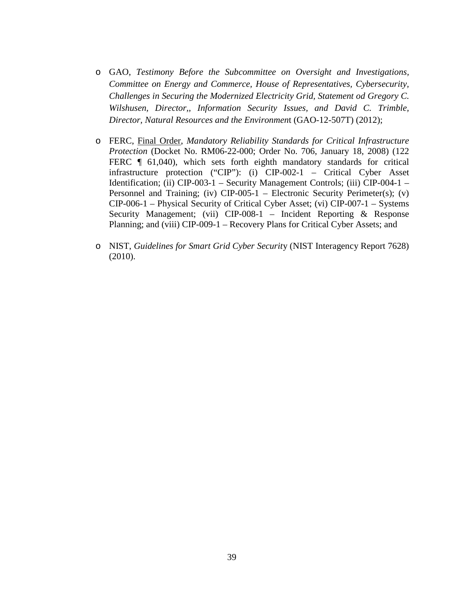- o GAO, *Testimony Before the Subcommittee on Oversight and Investigations, Committee on Energy and Commerce, House of Representatives, Cybersecurity, Challenges in Securing the Modernized Electricity Grid, Statement od Gregory C. Wilshusen, Director,, Information Security Issues, and David C. Trimble, Director, Natural Resources and the Environmen*t (GAO-12-507T) (2012);
- o FERC, Final Order, *Mandatory Reliability Standards for Critical Infrastructure Protection* (Docket No. RM06-22-000; Order No. 706, January 18, 2008) (122 FERC  $\parallel$  61,040), which sets forth eighth mandatory standards for critical infrastructure protection ("CIP"): (i) CIP-002-1 – Critical Cyber Asset Identification; (ii) CIP-003-1 – Security Management Controls; (iii) CIP-004-1 – Personnel and Training; (iv)  $\text{CIP-005-1}$  – Electronic Security Perimeter(s); (v) CIP-006-1 – Physical Security of Critical Cyber Asset; (vi) CIP-007-1 – Systems Security Management; (vii) CIP-008-1 – Incident Reporting & Response Planning; and (viii) CIP-009-1 – Recovery Plans for Critical Cyber Assets; and
- o NIST, *Guidelines for Smart Grid Cyber Securit*y (NIST Interagency Report 7628) (2010).